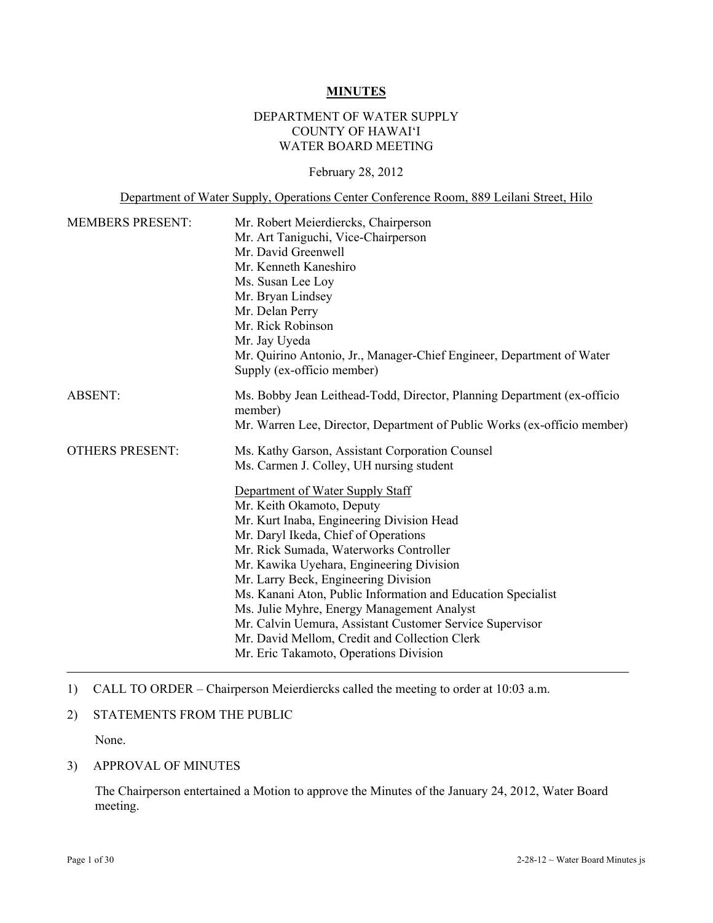#### **MINUTES**

#### DEPARTMENT OF WATER SUPPLY COUNTY OF HAWAI'I WATER BOARD MEETING

#### February 28, 2012

Department of Water Supply, Operations Center Conference Room, 889 Leilani Street, Hilo

| <b>MEMBERS PRESENT:</b> | Mr. Robert Meierdiercks, Chairperson<br>Mr. Art Taniguchi, Vice-Chairperson<br>Mr. David Greenwell<br>Mr. Kenneth Kaneshiro<br>Ms. Susan Lee Loy<br>Mr. Bryan Lindsey<br>Mr. Delan Perry<br>Mr. Rick Robinson<br>Mr. Jay Uyeda                                                                                                                                                                                                                                                                                                                        |
|-------------------------|-------------------------------------------------------------------------------------------------------------------------------------------------------------------------------------------------------------------------------------------------------------------------------------------------------------------------------------------------------------------------------------------------------------------------------------------------------------------------------------------------------------------------------------------------------|
|                         | Mr. Quirino Antonio, Jr., Manager-Chief Engineer, Department of Water<br>Supply (ex-officio member)                                                                                                                                                                                                                                                                                                                                                                                                                                                   |
| <b>ABSENT:</b>          | Ms. Bobby Jean Leithead-Todd, Director, Planning Department (ex-officio<br>member)<br>Mr. Warren Lee, Director, Department of Public Works (ex-officio member)                                                                                                                                                                                                                                                                                                                                                                                        |
| <b>OTHERS PRESENT:</b>  | Ms. Kathy Garson, Assistant Corporation Counsel<br>Ms. Carmen J. Colley, UH nursing student                                                                                                                                                                                                                                                                                                                                                                                                                                                           |
|                         | Department of Water Supply Staff<br>Mr. Keith Okamoto, Deputy<br>Mr. Kurt Inaba, Engineering Division Head<br>Mr. Daryl Ikeda, Chief of Operations<br>Mr. Rick Sumada, Waterworks Controller<br>Mr. Kawika Uyehara, Engineering Division<br>Mr. Larry Beck, Engineering Division<br>Ms. Kanani Aton, Public Information and Education Specialist<br>Ms. Julie Myhre, Energy Management Analyst<br>Mr. Calvin Uemura, Assistant Customer Service Supervisor<br>Mr. David Mellom, Credit and Collection Clerk<br>Mr. Eric Takamoto, Operations Division |

#### 1) CALL TO ORDER – Chairperson Meierdiercks called the meeting to order at 10:03 a.m.

#### 2) STATEMENTS FROM THE PUBLIC

None.

## 3) APPROVAL OF MINUTES

The Chairperson entertained a Motion to approve the Minutes of the January 24, 2012, Water Board meeting.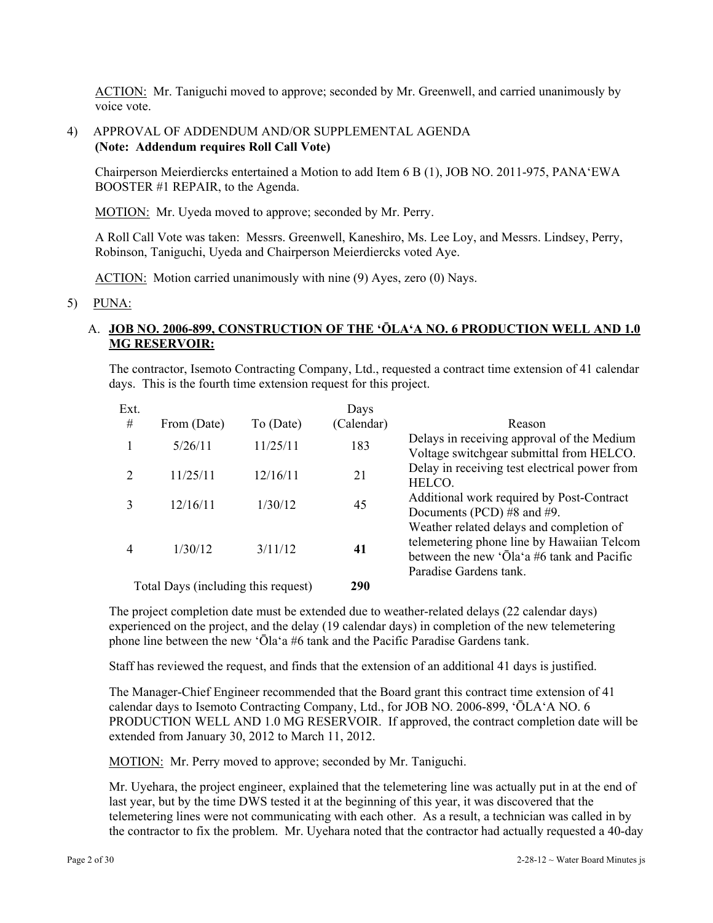ACTION: Mr. Taniguchi moved to approve; seconded by Mr. Greenwell, and carried unanimously by voice vote.

#### 4) APPROVAL OF ADDENDUM AND/OR SUPPLEMENTAL AGENDA **(Note: Addendum requires Roll Call Vote)**

Chairperson Meierdiercks entertained a Motion to add Item 6 B (1), JOB NO. 2011-975, PANA'EWA BOOSTER #1 REPAIR, to the Agenda.

MOTION: Mr. Uyeda moved to approve; seconded by Mr. Perry.

A Roll Call Vote was taken: Messrs. Greenwell, Kaneshiro, Ms. Lee Loy, and Messrs. Lindsey, Perry, Robinson, Taniguchi, Uyeda and Chairperson Meierdiercks voted Aye.

ACTION: Motion carried unanimously with nine (9) Ayes, zero (0) Nays.

5) PUNA:

### A. **JOB NO. 2006-899, CONSTRUCTION OF THE 'ŌLA'A NO. 6 PRODUCTION WELL AND 1.0 MG RESERVOIR:**

The contractor, Isemoto Contracting Company, Ltd., requested a contract time extension of 41 calendar days. This is the fourth time extension request for this project.

| Ext.                                |             |           | Days       |                                                                                                                                                                |
|-------------------------------------|-------------|-----------|------------|----------------------------------------------------------------------------------------------------------------------------------------------------------------|
| #                                   | From (Date) | To (Date) | (Calendar) | Reason                                                                                                                                                         |
|                                     | 5/26/11     | 11/25/11  | 183        | Delays in receiving approval of the Medium<br>Voltage switchgear submittal from HELCO.                                                                         |
|                                     | 11/25/11    | 12/16/11  | 21         | Delay in receiving test electrical power from<br>HELCO.                                                                                                        |
|                                     | 12/16/11    | 1/30/12   | 45         | Additional work required by Post-Contract<br>Documents (PCD) $#8$ and $#9$ .                                                                                   |
|                                     | 1/30/12     | 3/11/12   | 41         | Weather related delays and completion of<br>telemetering phone line by Hawaiian Telcom<br>between the new 'Ola'a #6 tank and Pacific<br>Paradise Gardens tank. |
| Total Days (including this request) |             |           | 290        |                                                                                                                                                                |

The project completion date must be extended due to weather-related delays (22 calendar days) experienced on the project, and the delay (19 calendar days) in completion of the new telemetering phone line between the new 'Ōla'a #6 tank and the Pacific Paradise Gardens tank.

Staff has reviewed the request, and finds that the extension of an additional 41 days is justified.

The Manager-Chief Engineer recommended that the Board grant this contract time extension of 41 calendar days to Isemoto Contracting Company, Ltd., for JOB NO. 2006-899, 'ŌLA'A NO. 6 PRODUCTION WELL AND 1.0 MG RESERVOIR. If approved, the contract completion date will be extended from January 30, 2012 to March 11, 2012.

MOTION: Mr. Perry moved to approve; seconded by Mr. Taniguchi.

Mr. Uyehara, the project engineer, explained that the telemetering line was actually put in at the end of last year, but by the time DWS tested it at the beginning of this year, it was discovered that the telemetering lines were not communicating with each other. As a result, a technician was called in by the contractor to fix the problem. Mr. Uyehara noted that the contractor had actually requested a 40-day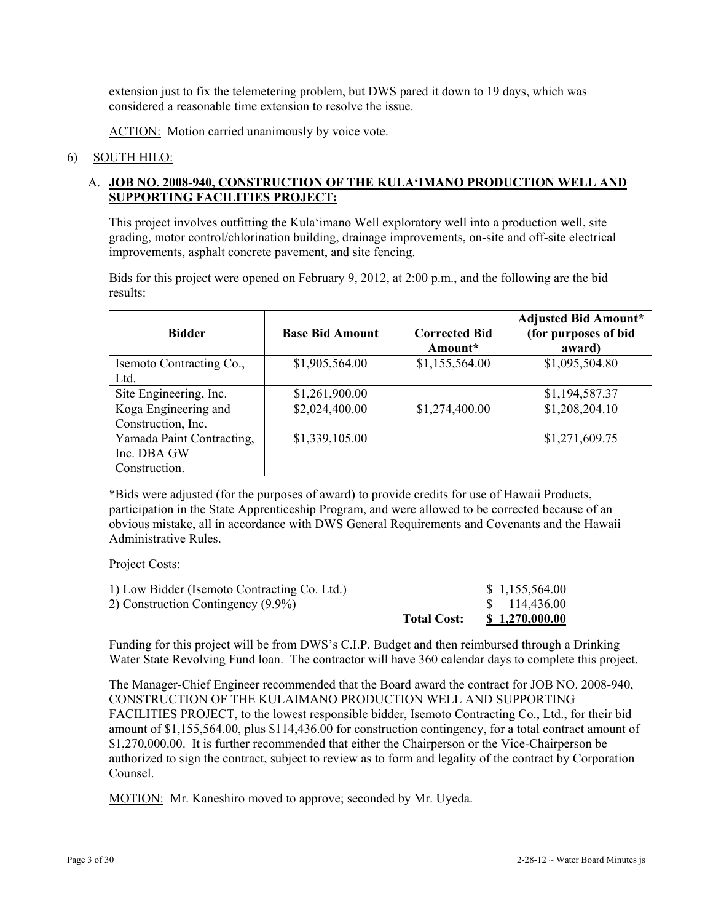extension just to fix the telemetering problem, but DWS pared it down to 19 days, which was considered a reasonable time extension to resolve the issue.

ACTION: Motion carried unanimously by voice vote.

#### 6) SOUTH HILO:

## A. **JOB NO. 2008-940, CONSTRUCTION OF THE KULA'IMANO PRODUCTION WELL AND SUPPORTING FACILITIES PROJECT:**

This project involves outfitting the Kula'imano Well exploratory well into a production well, site grading, motor control/chlorination building, drainage improvements, on-site and off-site electrical improvements, asphalt concrete pavement, and site fencing.

Bids for this project were opened on February 9, 2012, at 2:00 p.m., and the following are the bid results:

| <b>Bidder</b>             | <b>Base Bid Amount</b> | <b>Corrected Bid</b><br>Amount* | <b>Adjusted Bid Amount*</b><br>(for purposes of bid<br>award) |
|---------------------------|------------------------|---------------------------------|---------------------------------------------------------------|
| Isemoto Contracting Co.,  | \$1,905,564.00         | \$1,155,564.00                  | \$1,095,504.80                                                |
| Ltd.                      |                        |                                 |                                                               |
| Site Engineering, Inc.    | \$1,261,900.00         |                                 | \$1,194,587.37                                                |
| Koga Engineering and      | \$2,024,400.00         | \$1,274,400.00                  | \$1,208,204.10                                                |
| Construction, Inc.        |                        |                                 |                                                               |
| Yamada Paint Contracting, | \$1,339,105.00         |                                 | \$1,271,609.75                                                |
| Inc. DBA GW               |                        |                                 |                                                               |
| Construction.             |                        |                                 |                                                               |

\*Bids were adjusted (for the purposes of award) to provide credits for use of Hawaii Products, participation in the State Apprenticeship Program, and were allowed to be corrected because of an obvious mistake, all in accordance with DWS General Requirements and Covenants and the Hawaii Administrative Rules.

#### Project Costs:

|                                              | <b>Total Cost:</b> | <u>\$1,270,000.00</u> |
|----------------------------------------------|--------------------|-----------------------|
| 2) Construction Contingency (9.9%)           |                    | \$114,436.00          |
| 1) Low Bidder (Isemoto Contracting Co. Ltd.) |                    | \$1,155,564.00        |

Funding for this project will be from DWS's C.I.P. Budget and then reimbursed through a Drinking Water State Revolving Fund loan. The contractor will have 360 calendar days to complete this project.

The Manager-Chief Engineer recommended that the Board award the contract for JOB NO. 2008-940, CONSTRUCTION OF THE KULAIMANO PRODUCTION WELL AND SUPPORTING FACILITIES PROJECT, to the lowest responsible bidder, Isemoto Contracting Co., Ltd., for their bid amount of \$1,155,564.00, plus \$114,436.00 for construction contingency, for a total contract amount of \$1,270,000.00. It is further recommended that either the Chairperson or the Vice-Chairperson be authorized to sign the contract, subject to review as to form and legality of the contract by Corporation Counsel.

MOTION: Mr. Kaneshiro moved to approve; seconded by Mr. Uyeda.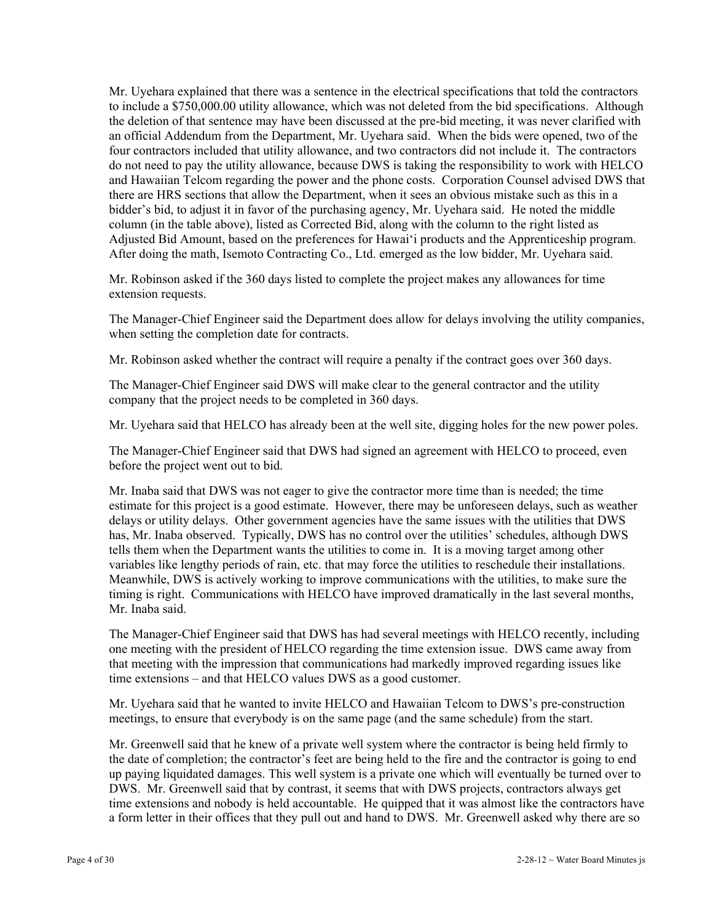Mr. Uyehara explained that there was a sentence in the electrical specifications that told the contractors to include a \$750,000.00 utility allowance, which was not deleted from the bid specifications. Although the deletion of that sentence may have been discussed at the pre-bid meeting, it was never clarified with an official Addendum from the Department, Mr. Uyehara said. When the bids were opened, two of the four contractors included that utility allowance, and two contractors did not include it. The contractors do not need to pay the utility allowance, because DWS is taking the responsibility to work with HELCO and Hawaiian Telcom regarding the power and the phone costs. Corporation Counsel advised DWS that there are HRS sections that allow the Department, when it sees an obvious mistake such as this in a bidder's bid, to adjust it in favor of the purchasing agency, Mr. Uyehara said. He noted the middle column (in the table above), listed as Corrected Bid, along with the column to the right listed as Adjusted Bid Amount, based on the preferences for Hawai'i products and the Apprenticeship program. After doing the math, Isemoto Contracting Co., Ltd. emerged as the low bidder, Mr. Uyehara said.

Mr. Robinson asked if the 360 days listed to complete the project makes any allowances for time extension requests.

The Manager-Chief Engineer said the Department does allow for delays involving the utility companies, when setting the completion date for contracts.

Mr. Robinson asked whether the contract will require a penalty if the contract goes over 360 days.

The Manager-Chief Engineer said DWS will make clear to the general contractor and the utility company that the project needs to be completed in 360 days.

Mr. Uyehara said that HELCO has already been at the well site, digging holes for the new power poles.

The Manager-Chief Engineer said that DWS had signed an agreement with HELCO to proceed, even before the project went out to bid.

Mr. Inaba said that DWS was not eager to give the contractor more time than is needed; the time estimate for this project is a good estimate. However, there may be unforeseen delays, such as weather delays or utility delays. Other government agencies have the same issues with the utilities that DWS has, Mr. Inaba observed. Typically, DWS has no control over the utilities' schedules, although DWS tells them when the Department wants the utilities to come in. It is a moving target among other variables like lengthy periods of rain, etc. that may force the utilities to reschedule their installations. Meanwhile, DWS is actively working to improve communications with the utilities, to make sure the timing is right. Communications with HELCO have improved dramatically in the last several months, Mr. Inaba said.

The Manager-Chief Engineer said that DWS has had several meetings with HELCO recently, including one meeting with the president of HELCO regarding the time extension issue. DWS came away from that meeting with the impression that communications had markedly improved regarding issues like time extensions – and that HELCO values DWS as a good customer.

Mr. Uyehara said that he wanted to invite HELCO and Hawaiian Telcom to DWS's pre-construction meetings, to ensure that everybody is on the same page (and the same schedule) from the start.

Mr. Greenwell said that he knew of a private well system where the contractor is being held firmly to the date of completion; the contractor's feet are being held to the fire and the contractor is going to end up paying liquidated damages. This well system is a private one which will eventually be turned over to DWS. Mr. Greenwell said that by contrast, it seems that with DWS projects, contractors always get time extensions and nobody is held accountable. He quipped that it was almost like the contractors have a form letter in their offices that they pull out and hand to DWS. Mr. Greenwell asked why there are so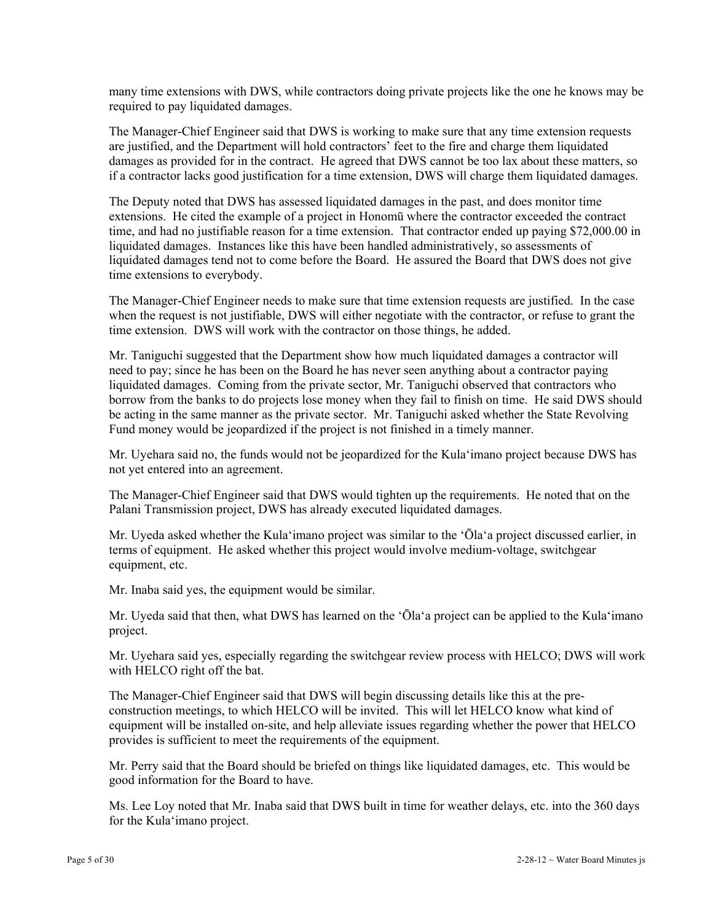many time extensions with DWS, while contractors doing private projects like the one he knows may be required to pay liquidated damages.

The Manager-Chief Engineer said that DWS is working to make sure that any time extension requests are justified, and the Department will hold contractors' feet to the fire and charge them liquidated damages as provided for in the contract. He agreed that DWS cannot be too lax about these matters, so if a contractor lacks good justification for a time extension, DWS will charge them liquidated damages.

The Deputy noted that DWS has assessed liquidated damages in the past, and does monitor time extensions. He cited the example of a project in Honomū where the contractor exceeded the contract time, and had no justifiable reason for a time extension. That contractor ended up paying \$72,000.00 in liquidated damages. Instances like this have been handled administratively, so assessments of liquidated damages tend not to come before the Board. He assured the Board that DWS does not give time extensions to everybody.

The Manager-Chief Engineer needs to make sure that time extension requests are justified. In the case when the request is not justifiable, DWS will either negotiate with the contractor, or refuse to grant the time extension. DWS will work with the contractor on those things, he added.

Mr. Taniguchi suggested that the Department show how much liquidated damages a contractor will need to pay; since he has been on the Board he has never seen anything about a contractor paying liquidated damages. Coming from the private sector, Mr. Taniguchi observed that contractors who borrow from the banks to do projects lose money when they fail to finish on time. He said DWS should be acting in the same manner as the private sector. Mr. Taniguchi asked whether the State Revolving Fund money would be jeopardized if the project is not finished in a timely manner.

Mr. Uyehara said no, the funds would not be jeopardized for the Kula'imano project because DWS has not yet entered into an agreement.

The Manager-Chief Engineer said that DWS would tighten up the requirements. He noted that on the Palani Transmission project, DWS has already executed liquidated damages.

Mr. Uyeda asked whether the Kula'imano project was similar to the 'Ōla'a project discussed earlier, in terms of equipment. He asked whether this project would involve medium-voltage, switchgear equipment, etc.

Mr. Inaba said yes, the equipment would be similar.

Mr. Uyeda said that then, what DWS has learned on the 'Ōla'a project can be applied to the Kula'imano project.

Mr. Uyehara said yes, especially regarding the switchgear review process with HELCO; DWS will work with HELCO right off the bat.

The Manager-Chief Engineer said that DWS will begin discussing details like this at the preconstruction meetings, to which HELCO will be invited. This will let HELCO know what kind of equipment will be installed on-site, and help alleviate issues regarding whether the power that HELCO provides is sufficient to meet the requirements of the equipment.

Mr. Perry said that the Board should be briefed on things like liquidated damages, etc. This would be good information for the Board to have.

Ms. Lee Loy noted that Mr. Inaba said that DWS built in time for weather delays, etc. into the 360 days for the Kula'imano project.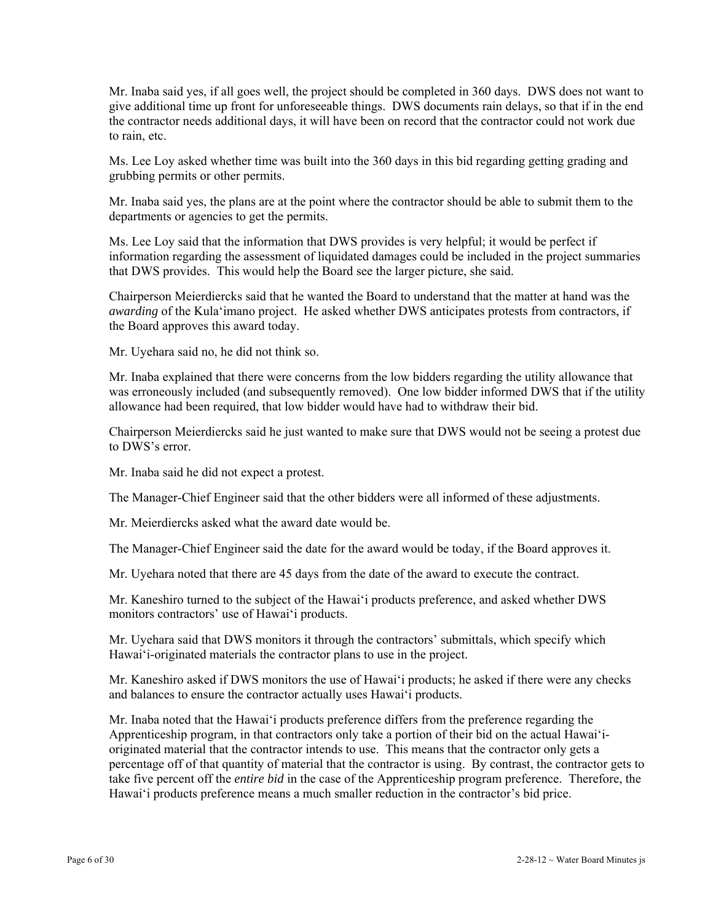Mr. Inaba said yes, if all goes well, the project should be completed in 360 days. DWS does not want to give additional time up front for unforeseeable things. DWS documents rain delays, so that if in the end the contractor needs additional days, it will have been on record that the contractor could not work due to rain, etc.

Ms. Lee Loy asked whether time was built into the 360 days in this bid regarding getting grading and grubbing permits or other permits.

Mr. Inaba said yes, the plans are at the point where the contractor should be able to submit them to the departments or agencies to get the permits.

Ms. Lee Loy said that the information that DWS provides is very helpful; it would be perfect if information regarding the assessment of liquidated damages could be included in the project summaries that DWS provides. This would help the Board see the larger picture, she said.

Chairperson Meierdiercks said that he wanted the Board to understand that the matter at hand was the *awarding* of the Kula'imano project. He asked whether DWS anticipates protests from contractors, if the Board approves this award today.

Mr. Uyehara said no, he did not think so.

Mr. Inaba explained that there were concerns from the low bidders regarding the utility allowance that was erroneously included (and subsequently removed). One low bidder informed DWS that if the utility allowance had been required, that low bidder would have had to withdraw their bid.

Chairperson Meierdiercks said he just wanted to make sure that DWS would not be seeing a protest due to DWS's error.

Mr. Inaba said he did not expect a protest.

The Manager-Chief Engineer said that the other bidders were all informed of these adjustments.

Mr. Meierdiercks asked what the award date would be.

The Manager-Chief Engineer said the date for the award would be today, if the Board approves it.

Mr. Uyehara noted that there are 45 days from the date of the award to execute the contract.

Mr. Kaneshiro turned to the subject of the Hawai'i products preference, and asked whether DWS monitors contractors' use of Hawai'i products.

Mr. Uyehara said that DWS monitors it through the contractors' submittals, which specify which Hawai'i-originated materials the contractor plans to use in the project.

Mr. Kaneshiro asked if DWS monitors the use of Hawai'i products; he asked if there were any checks and balances to ensure the contractor actually uses Hawai'i products.

Mr. Inaba noted that the Hawai'i products preference differs from the preference regarding the Apprenticeship program, in that contractors only take a portion of their bid on the actual Hawai'ioriginated material that the contractor intends to use. This means that the contractor only gets a percentage off of that quantity of material that the contractor is using. By contrast, the contractor gets to take five percent off the *entire bid* in the case of the Apprenticeship program preference. Therefore, the Hawai'i products preference means a much smaller reduction in the contractor's bid price.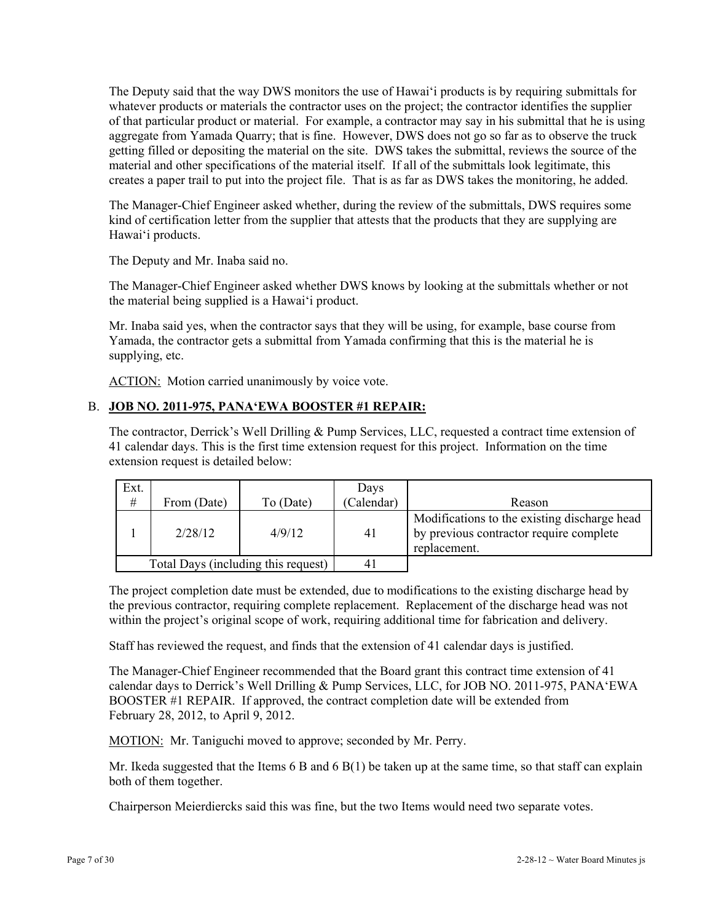The Deputy said that the way DWS monitors the use of Hawai'i products is by requiring submittals for whatever products or materials the contractor uses on the project; the contractor identifies the supplier of that particular product or material. For example, a contractor may say in his submittal that he is using aggregate from Yamada Quarry; that is fine. However, DWS does not go so far as to observe the truck getting filled or depositing the material on the site. DWS takes the submittal, reviews the source of the material and other specifications of the material itself. If all of the submittals look legitimate, this creates a paper trail to put into the project file. That is as far as DWS takes the monitoring, he added.

The Manager-Chief Engineer asked whether, during the review of the submittals, DWS requires some kind of certification letter from the supplier that attests that the products that they are supplying are Hawai'i products.

The Deputy and Mr. Inaba said no.

The Manager-Chief Engineer asked whether DWS knows by looking at the submittals whether or not the material being supplied is a Hawai'i product.

Mr. Inaba said yes, when the contractor says that they will be using, for example, base course from Yamada, the contractor gets a submittal from Yamada confirming that this is the material he is supplying, etc.

ACTION: Motion carried unanimously by voice vote.

## B. **JOB NO. 2011-975, PANA'EWA BOOSTER #1 REPAIR:**

The contractor, Derrick's Well Drilling & Pump Services, LLC, requested a contract time extension of 41 calendar days. This is the first time extension request for this project. Information on the time extension request is detailed below:

| Ext.<br>$\#$                        | From (Date) | To (Date) | Days<br>Calendar) | Reason                                                                                                  |
|-------------------------------------|-------------|-----------|-------------------|---------------------------------------------------------------------------------------------------------|
|                                     | 2/28/12     | 4/9/12    | 41                | Modifications to the existing discharge head<br>by previous contractor require complete<br>replacement. |
| Total Days (including this request) |             |           |                   |                                                                                                         |

The project completion date must be extended, due to modifications to the existing discharge head by the previous contractor, requiring complete replacement. Replacement of the discharge head was not within the project's original scope of work, requiring additional time for fabrication and delivery.

Staff has reviewed the request, and finds that the extension of 41 calendar days is justified.

The Manager-Chief Engineer recommended that the Board grant this contract time extension of 41 calendar days to Derrick's Well Drilling & Pump Services, LLC, for JOB NO. 2011-975, PANA'EWA BOOSTER #1 REPAIR. If approved, the contract completion date will be extended from February 28, 2012, to April 9, 2012.

MOTION: Mr. Taniguchi moved to approve; seconded by Mr. Perry.

Mr. Ikeda suggested that the Items  $6B$  and  $6B(1)$  be taken up at the same time, so that staff can explain both of them together.

Chairperson Meierdiercks said this was fine, but the two Items would need two separate votes.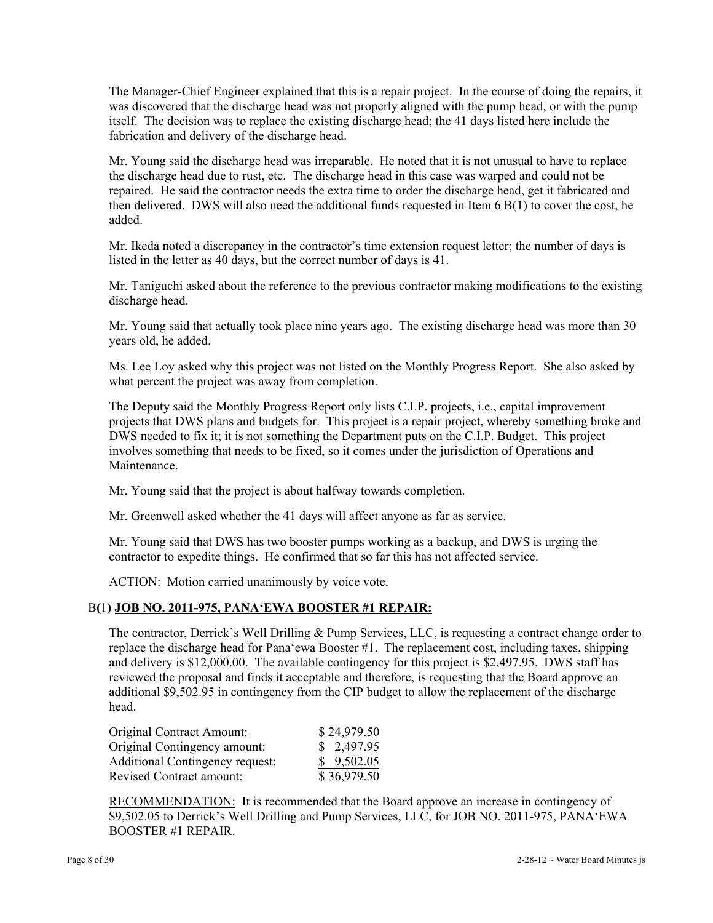The Manager-Chief Engineer explained that this is a repair project. In the course of doing the repairs, it was discovered that the discharge head was not properly aligned with the pump head, or with the pump itself. The decision was to replace the existing discharge head; the 41 days listed here include the fabrication and delivery of the discharge head.

Mr. Young said the discharge head was irreparable. He noted that it is not unusual to have to replace the discharge head due to rust, etc. The discharge head in this case was warped and could not be repaired. He said the contractor needs the extra time to order the discharge head, get it fabricated and then delivered. DWS will also need the additional funds requested in Item 6 B(1) to cover the cost, he added.

Mr. Ikeda noted a discrepancy in the contractor's time extension request letter; the number of days is listed in the letter as 40 days, but the correct number of days is 41.

Mr. Taniguchi asked about the reference to the previous contractor making modifications to the existing discharge head.

Mr. Young said that actually took place nine years ago. The existing discharge head was more than 30 years old, he added.

Ms. Lee Loy asked why this project was not listed on the Monthly Progress Report. She also asked by what percent the project was away from completion.

The Deputy said the Monthly Progress Report only lists C.I.P. projects, i.e., capital improvement projects that DWS plans and budgets for. This project is a repair project, whereby something broke and DWS needed to fix it; it is not something the Department puts on the C.I.P. Budget. This project involves something that needs to be fixed, so it comes under the jurisdiction of Operations and Maintenance.

Mr. Young said that the project is about halfway towards completion.

Mr. Greenwell asked whether the 41 days will affect anyone as far as service.

Mr. Young said that DWS has two booster pumps working as a backup, and DWS is urging the contractor to expedite things. He confirmed that so far this has not affected service.

ACTION: Motion carried unanimously by voice vote.

#### B**(**1**) JOB NO. 2011-975, PANA'EWA BOOSTER #1 REPAIR:**

The contractor, Derrick's Well Drilling & Pump Services, LLC, is requesting a contract change order to replace the discharge head for Pana'ewa Booster #1. The replacement cost, including taxes, shipping and delivery is \$12,000.00. The available contingency for this project is \$2,497.95. DWS staff has reviewed the proposal and finds it acceptable and therefore, is requesting that the Board approve an additional \$9,502.95 in contingency from the CIP budget to allow the replacement of the discharge head.

| <b>Original Contract Amount:</b>       | \$24,979.50 |
|----------------------------------------|-------------|
| Original Contingency amount:           | \$2,497.95  |
| <b>Additional Contingency request:</b> | \$9,502.05  |
| <b>Revised Contract amount:</b>        | \$36,979.50 |

RECOMMENDATION: It is recommended that the Board approve an increase in contingency of \$9,502.05 to Derrick's Well Drilling and Pump Services, LLC, for JOB NO. 2011-975, PANA'EWA BOOSTER #1 REPAIR.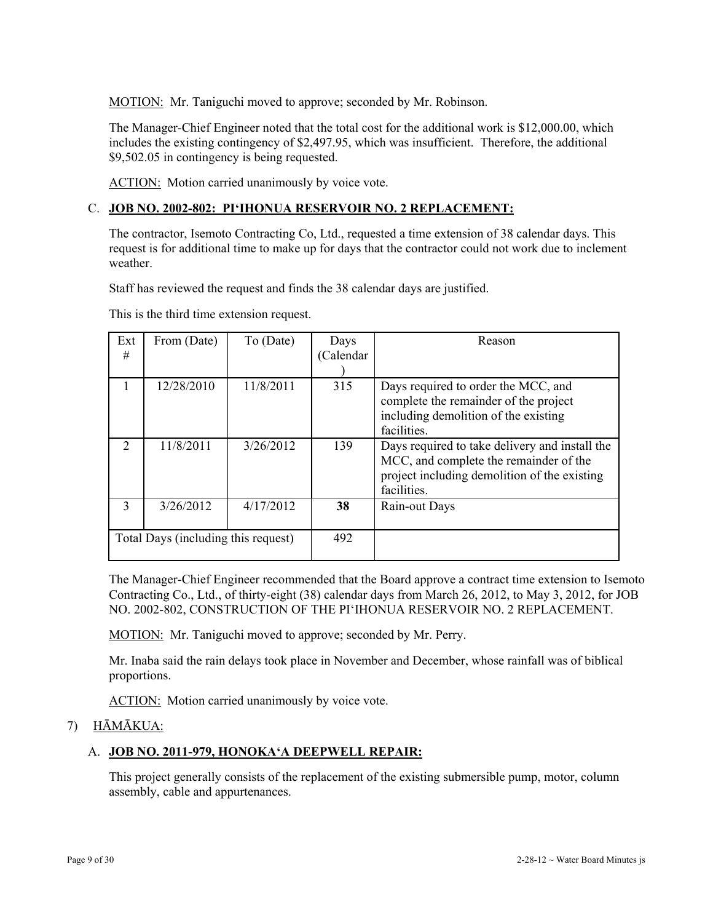MOTION: Mr. Taniguchi moved to approve; seconded by Mr. Robinson.

The Manager-Chief Engineer noted that the total cost for the additional work is \$12,000.00, which includes the existing contingency of \$2,497.95, which was insufficient. Therefore, the additional \$9,502.05 in contingency is being requested.

ACTION: Motion carried unanimously by voice vote.

## C. **JOB NO. 2002-802: PI'IHONUA RESERVOIR NO. 2 REPLACEMENT:**

The contractor, Isemoto Contracting Co, Ltd., requested a time extension of 38 calendar days. This request is for additional time to make up for days that the contractor could not work due to inclement weather.

Staff has reviewed the request and finds the 38 calendar days are justified.

| Ext<br>#                            | From (Date) | To (Date) | Days<br>(Calendar) | Reason                                                                                                                                                  |
|-------------------------------------|-------------|-----------|--------------------|---------------------------------------------------------------------------------------------------------------------------------------------------------|
| 1                                   | 12/28/2010  | 11/8/2011 | 315                | Days required to order the MCC, and<br>complete the remainder of the project<br>including demolition of the existing<br>facilities.                     |
| $\mathcal{D}_{\mathcal{L}}$         | 11/8/2011   | 3/26/2012 | 139                | Days required to take delivery and install the<br>MCC, and complete the remainder of the<br>project including demolition of the existing<br>facilities. |
| 3                                   | 3/26/2012   | 4/17/2012 | 38                 | Rain-out Days                                                                                                                                           |
| Total Days (including this request) |             | 492       |                    |                                                                                                                                                         |

This is the third time extension request.

The Manager-Chief Engineer recommended that the Board approve a contract time extension to Isemoto Contracting Co., Ltd., of thirty-eight (38) calendar days from March 26, 2012, to May 3, 2012, for JOB NO. 2002-802, CONSTRUCTION OF THE PI'IHONUA RESERVOIR NO. 2 REPLACEMENT.

MOTION: Mr. Taniguchi moved to approve; seconded by Mr. Perry.

Mr. Inaba said the rain delays took place in November and December, whose rainfall was of biblical proportions.

ACTION: Motion carried unanimously by voice vote.

# 7) HĀMĀKUA:

#### A. **JOB NO. 2011-979, HONOKA'A DEEPWELL REPAIR:**

This project generally consists of the replacement of the existing submersible pump, motor, column assembly, cable and appurtenances.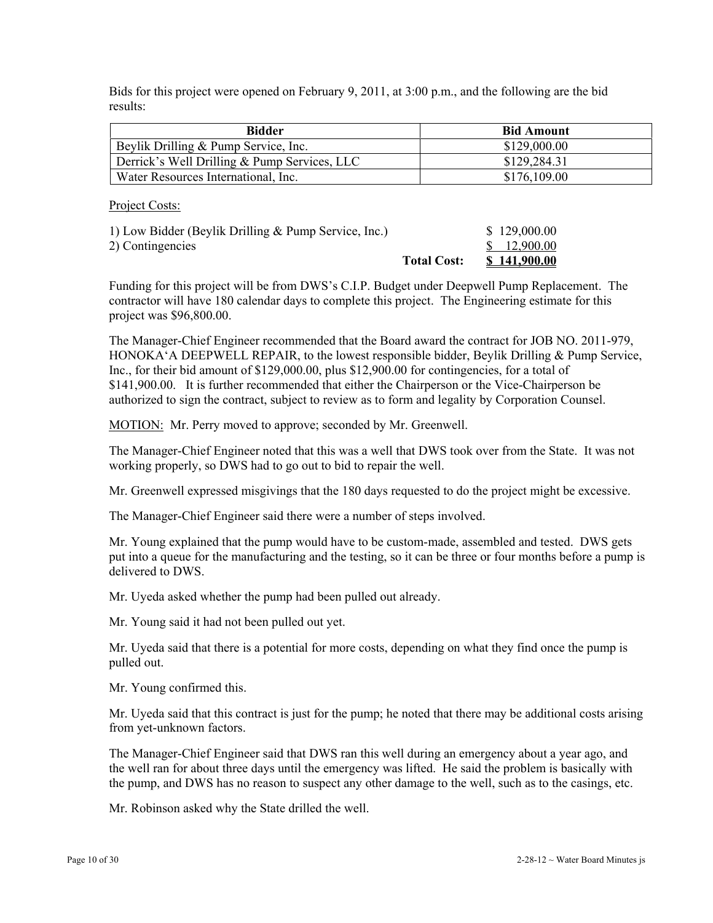Bids for this project were opened on February 9, 2011, at 3:00 p.m., and the following are the bid results:

| <b>Bidder</b>                                | <b>Bid Amount</b> |
|----------------------------------------------|-------------------|
| Beylik Drilling & Pump Service, Inc.         | \$129,000.00      |
| Derrick's Well Drilling & Pump Services, LLC | \$129,284.31      |
| Water Resources International, Inc.          | \$176,109.00      |

Project Costs:

| 1) Low Bidder (Beylik Drilling & Pump Service, Inc.) |                    | \$129,000.00 |
|------------------------------------------------------|--------------------|--------------|
| 2) Contingencies                                     |                    | \$12,900.00  |
|                                                      | <b>Total Cost:</b> | \$141,900.00 |

Funding for this project will be from DWS's C.I.P. Budget under Deepwell Pump Replacement. The contractor will have 180 calendar days to complete this project. The Engineering estimate for this project was \$96,800.00.

The Manager-Chief Engineer recommended that the Board award the contract for JOB NO. 2011-979, HONOKA'A DEEPWELL REPAIR, to the lowest responsible bidder, Beylik Drilling & Pump Service, Inc., for their bid amount of \$129,000.00, plus \$12,900.00 for contingencies, for a total of \$141,900.00. It is further recommended that either the Chairperson or the Vice-Chairperson be authorized to sign the contract, subject to review as to form and legality by Corporation Counsel.

MOTION: Mr. Perry moved to approve; seconded by Mr. Greenwell.

The Manager-Chief Engineer noted that this was a well that DWS took over from the State. It was not working properly, so DWS had to go out to bid to repair the well.

Mr. Greenwell expressed misgivings that the 180 days requested to do the project might be excessive.

The Manager-Chief Engineer said there were a number of steps involved.

Mr. Young explained that the pump would have to be custom-made, assembled and tested. DWS gets put into a queue for the manufacturing and the testing, so it can be three or four months before a pump is delivered to DWS.

Mr. Uyeda asked whether the pump had been pulled out already.

Mr. Young said it had not been pulled out yet.

Mr. Uyeda said that there is a potential for more costs, depending on what they find once the pump is pulled out.

Mr. Young confirmed this.

Mr. Uyeda said that this contract is just for the pump; he noted that there may be additional costs arising from yet-unknown factors.

The Manager-Chief Engineer said that DWS ran this well during an emergency about a year ago, and the well ran for about three days until the emergency was lifted. He said the problem is basically with the pump, and DWS has no reason to suspect any other damage to the well, such as to the casings, etc.

Mr. Robinson asked why the State drilled the well.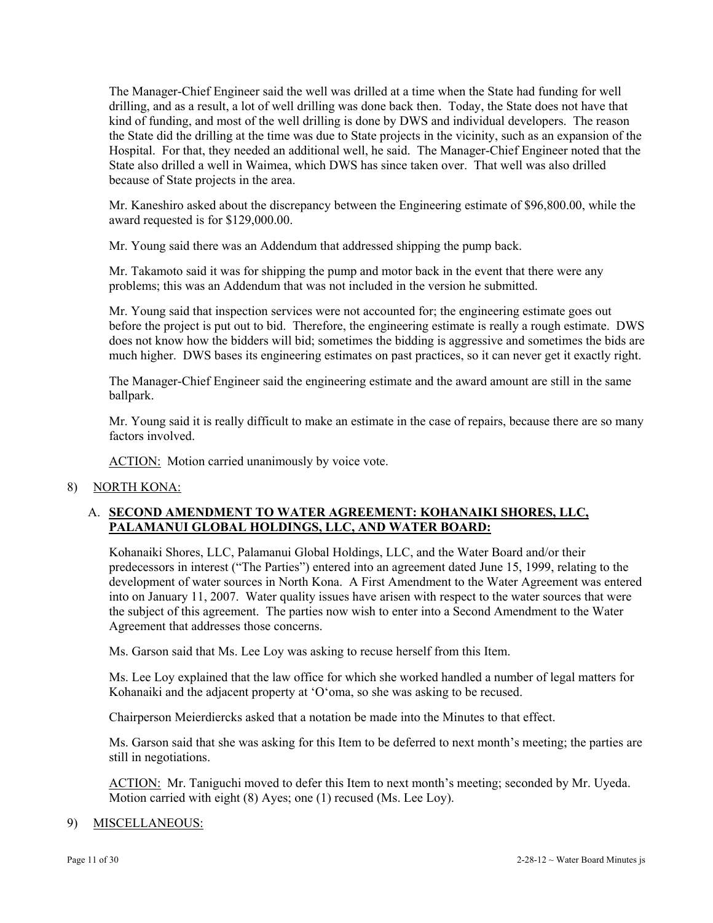The Manager-Chief Engineer said the well was drilled at a time when the State had funding for well drilling, and as a result, a lot of well drilling was done back then. Today, the State does not have that kind of funding, and most of the well drilling is done by DWS and individual developers. The reason the State did the drilling at the time was due to State projects in the vicinity, such as an expansion of the Hospital. For that, they needed an additional well, he said. The Manager-Chief Engineer noted that the State also drilled a well in Waimea, which DWS has since taken over. That well was also drilled because of State projects in the area.

Mr. Kaneshiro asked about the discrepancy between the Engineering estimate of \$96,800.00, while the award requested is for \$129,000.00.

Mr. Young said there was an Addendum that addressed shipping the pump back.

Mr. Takamoto said it was for shipping the pump and motor back in the event that there were any problems; this was an Addendum that was not included in the version he submitted.

Mr. Young said that inspection services were not accounted for; the engineering estimate goes out before the project is put out to bid. Therefore, the engineering estimate is really a rough estimate. DWS does not know how the bidders will bid; sometimes the bidding is aggressive and sometimes the bids are much higher. DWS bases its engineering estimates on past practices, so it can never get it exactly right.

The Manager-Chief Engineer said the engineering estimate and the award amount are still in the same ballpark.

Mr. Young said it is really difficult to make an estimate in the case of repairs, because there are so many factors involved.

ACTION: Motion carried unanimously by voice vote.

8) NORTH KONA:

## A. **SECOND AMENDMENT TO WATER AGREEMENT: KOHANAIKI SHORES, LLC, PALAMANUI GLOBAL HOLDINGS, LLC, AND WATER BOARD:**

Kohanaiki Shores, LLC, Palamanui Global Holdings, LLC, and the Water Board and/or their predecessors in interest ("The Parties") entered into an agreement dated June 15, 1999, relating to the development of water sources in North Kona. A First Amendment to the Water Agreement was entered into on January 11, 2007. Water quality issues have arisen with respect to the water sources that were the subject of this agreement. The parties now wish to enter into a Second Amendment to the Water Agreement that addresses those concerns.

Ms. Garson said that Ms. Lee Loy was asking to recuse herself from this Item.

Ms. Lee Loy explained that the law office for which she worked handled a number of legal matters for Kohanaiki and the adjacent property at 'O'oma, so she was asking to be recused.

Chairperson Meierdiercks asked that a notation be made into the Minutes to that effect.

Ms. Garson said that she was asking for this Item to be deferred to next month's meeting; the parties are still in negotiations.

ACTION: Mr. Taniguchi moved to defer this Item to next month's meeting; seconded by Mr. Uyeda. Motion carried with eight (8) Ayes; one (1) recused (Ms. Lee Loy).

#### 9) MISCELLANEOUS: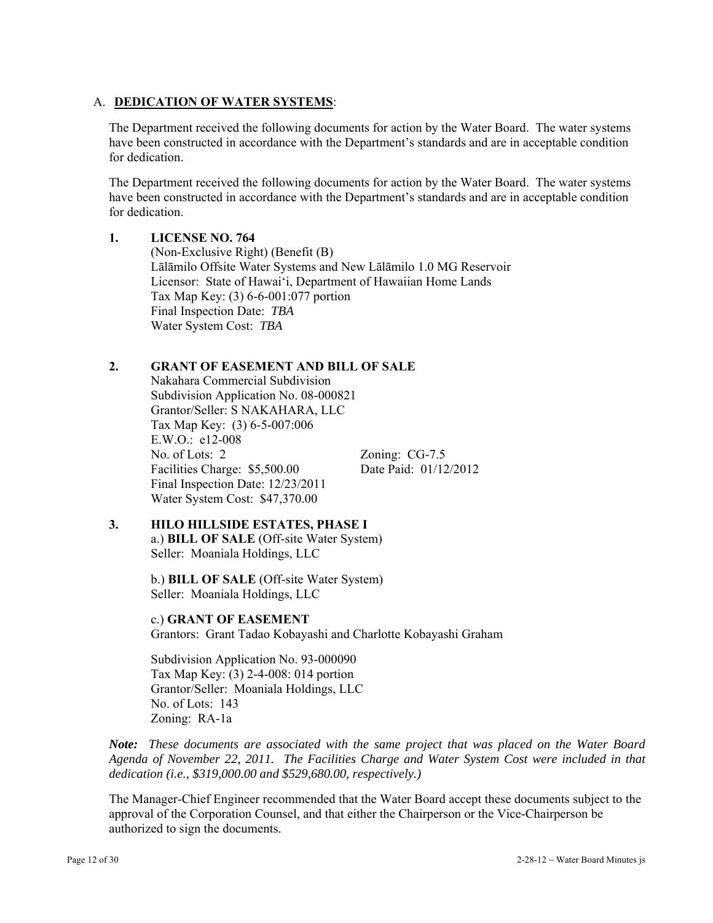## A. **DEDICATION OF WATER SYSTEMS**:

The Department received the following documents for action by the Water Board. The water systems have been constructed in accordance with the Department's standards and are in acceptable condition for dedication.

The Department received the following documents for action by the Water Board. The water systems have been constructed in accordance with the Department's standards and are in acceptable condition for dedication.

#### **1. LICENSE NO. 764**

 (Non-Exclusive Right) (Benefit (B) Lālāmilo Offsite Water Systems and New Lālāmilo 1.0 MG Reservoir Licensor: State of Hawai'i, Department of Hawaiian Home Lands Tax Map Key: (3) 6-6-001:077 portion Final Inspection Date: *TBA* Water System Cost: *TBA*

## **2. GRANT OF EASEMENT AND BILL OF SALE**

 Nakahara Commercial Subdivision Subdivision Application No. 08-000821 Grantor/Seller: S NAKAHARA, LLC Tax Map Key: (3) 6-5-007:006 E.W.O.: e12-008 No. of Lots: 2 Zoning: CG-7.5 Facilities Charge: \$5,500.00 Date Paid: 01/12/2012 Final Inspection Date: 12/23/2011 Water System Cost: \$47,370.00

**3. HILO HILLSIDE ESTATES, PHASE I** 

a.) **BILL OF SALE** (Off-site Water System) Seller: Moaniala Holdings, LLC

 b.) **BILL OF SALE** (Off-site Water System) Seller: Moaniala Holdings, LLC

c.) **GRANT OF EASEMENT**

Grantors: Grant Tadao Kobayashi and Charlotte Kobayashi Graham

 Subdivision Application No. 93-000090 Tax Map Key: (3) 2-4-008: 014 portion Grantor/Seller: Moaniala Holdings, LLC No. of Lots: 143 Zoning: RA-1a

 *Note: These documents are associated with the same project that was placed on the Water Board Agenda of November 22, 2011. The Facilities Charge and Water System Cost were included in that dedication (i.e., \$319,000.00 and \$529,680.00, respectively.)*

The Manager-Chief Engineer recommended that the Water Board accept these documents subject to the approval of the Corporation Counsel, and that either the Chairperson or the Vice-Chairperson be authorized to sign the documents.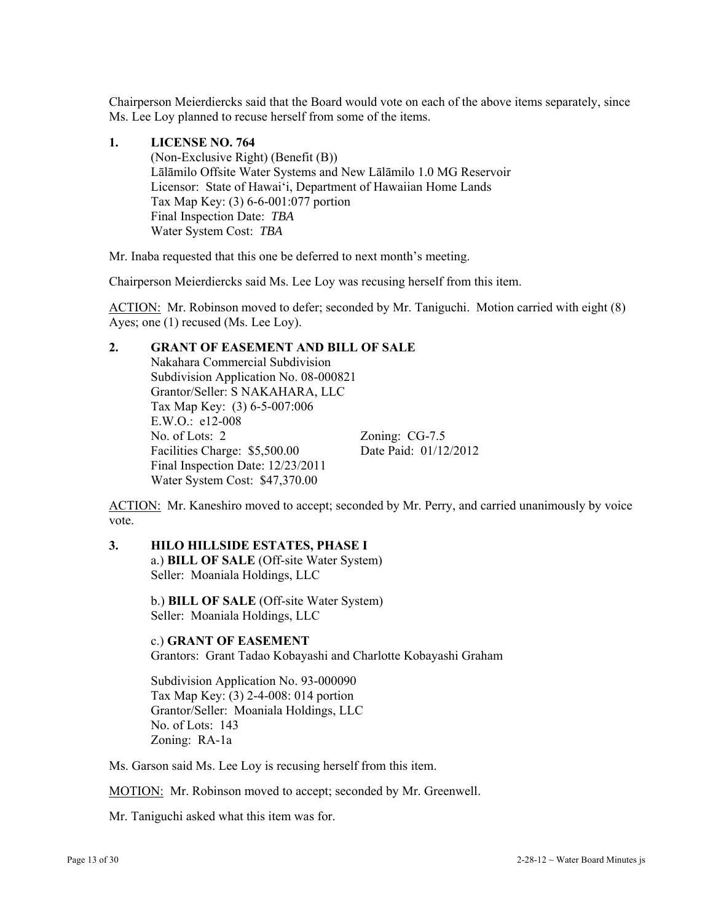Chairperson Meierdiercks said that the Board would vote on each of the above items separately, since Ms. Lee Loy planned to recuse herself from some of the items.

#### **1. LICENSE NO. 764**

 (Non-Exclusive Right) (Benefit (B)) Lālāmilo Offsite Water Systems and New Lālāmilo 1.0 MG Reservoir Licensor: State of Hawai'i, Department of Hawaiian Home Lands Tax Map Key: (3) 6-6-001:077 portion Final Inspection Date: *TBA* Water System Cost: *TBA*

Mr. Inaba requested that this one be deferred to next month's meeting.

Chairperson Meierdiercks said Ms. Lee Loy was recusing herself from this item.

ACTION: Mr. Robinson moved to defer; seconded by Mr. Taniguchi. Motion carried with eight (8) Ayes; one (1) recused (Ms. Lee Loy).

### **2. GRANT OF EASEMENT AND BILL OF SALE**

 Nakahara Commercial Subdivision Subdivision Application No. 08-000821 Grantor/Seller: S NAKAHARA, LLC Tax Map Key: (3) 6-5-007:006 E.W.O.: e12-008 No. of Lots: 2 Zoning: CG-7.5 Facilities Charge: \$5,500.00 Date Paid: 01/12/2012 Final Inspection Date: 12/23/2011 Water System Cost: \$47,370.00

ACTION: Mr. Kaneshiro moved to accept; seconded by Mr. Perry, and carried unanimously by voice vote.

### **3. HILO HILLSIDE ESTATES, PHASE I**

a.) **BILL OF SALE** (Off-site Water System) Seller: Moaniala Holdings, LLC

 b.) **BILL OF SALE** (Off-site Water System) Seller: Moaniala Holdings, LLC

## c.) **GRANT OF EASEMENT**

Grantors: Grant Tadao Kobayashi and Charlotte Kobayashi Graham

 Subdivision Application No. 93-000090 Tax Map Key: (3) 2-4-008: 014 portion Grantor/Seller: Moaniala Holdings, LLC No. of Lots: 143 Zoning: RA-1a

Ms. Garson said Ms. Lee Loy is recusing herself from this item.

MOTION: Mr. Robinson moved to accept; seconded by Mr. Greenwell.

Mr. Taniguchi asked what this item was for.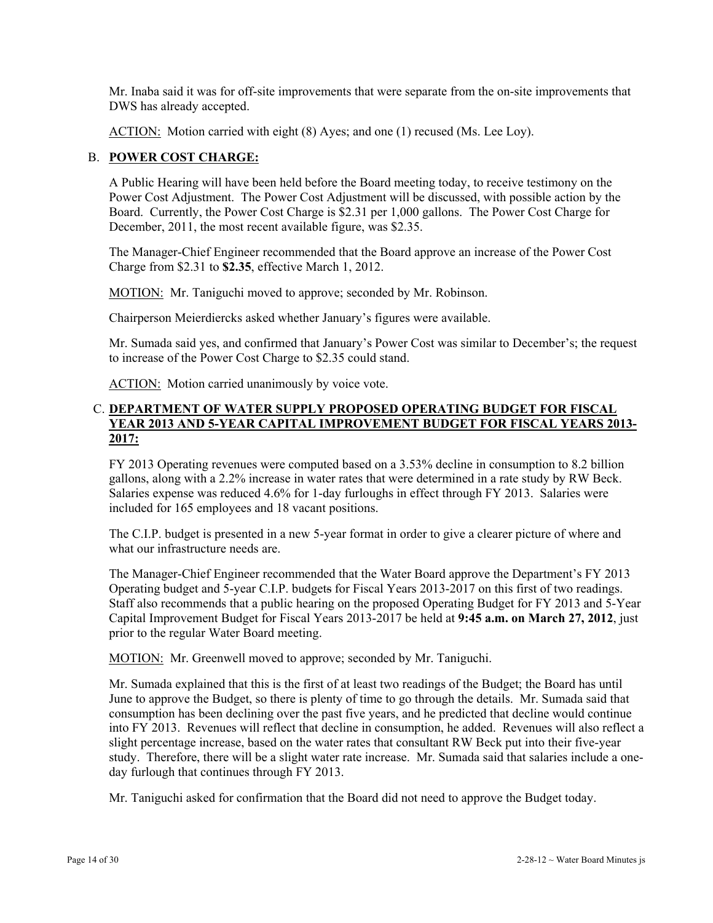Mr. Inaba said it was for off-site improvements that were separate from the on-site improvements that DWS has already accepted.

ACTION: Motion carried with eight (8) Ayes; and one (1) recused (Ms. Lee Loy).

## B. **POWER COST CHARGE:**

A Public Hearing will have been held before the Board meeting today, to receive testimony on the Power Cost Adjustment. The Power Cost Adjustment will be discussed, with possible action by the Board. Currently, the Power Cost Charge is \$2.31 per 1,000 gallons. The Power Cost Charge for December, 2011, the most recent available figure, was \$2.35.

The Manager-Chief Engineer recommended that the Board approve an increase of the Power Cost Charge from \$2.31 to **\$2.35**, effective March 1, 2012.

MOTION: Mr. Taniguchi moved to approve; seconded by Mr. Robinson.

Chairperson Meierdiercks asked whether January's figures were available.

Mr. Sumada said yes, and confirmed that January's Power Cost was similar to December's; the request to increase of the Power Cost Charge to \$2.35 could stand.

ACTION: Motion carried unanimously by voice vote.

#### C. **DEPARTMENT OF WATER SUPPLY PROPOSED OPERATING BUDGET FOR FISCAL YEAR 2013 AND 5-YEAR CAPITAL IMPROVEMENT BUDGET FOR FISCAL YEARS 2013- 2017:**

FY 2013 Operating revenues were computed based on a 3.53% decline in consumption to 8.2 billion gallons, along with a 2.2% increase in water rates that were determined in a rate study by RW Beck. Salaries expense was reduced 4.6% for 1-day furloughs in effect through FY 2013. Salaries were included for 165 employees and 18 vacant positions.

The C.I.P. budget is presented in a new 5-year format in order to give a clearer picture of where and what our infrastructure needs are.

The Manager-Chief Engineer recommended that the Water Board approve the Department's FY 2013 Operating budget and 5-year C.I.P. budgets for Fiscal Years 2013-2017 on this first of two readings. Staff also recommends that a public hearing on the proposed Operating Budget for FY 2013 and 5-Year Capital Improvement Budget for Fiscal Years 2013-2017 be held at **9:45 a.m. on March 27, 2012**, just prior to the regular Water Board meeting.

MOTION: Mr. Greenwell moved to approve; seconded by Mr. Taniguchi.

Mr. Sumada explained that this is the first of at least two readings of the Budget; the Board has until June to approve the Budget, so there is plenty of time to go through the details. Mr. Sumada said that consumption has been declining over the past five years, and he predicted that decline would continue into FY 2013. Revenues will reflect that decline in consumption, he added. Revenues will also reflect a slight percentage increase, based on the water rates that consultant RW Beck put into their five-year study. Therefore, there will be a slight water rate increase. Mr. Sumada said that salaries include a oneday furlough that continues through FY 2013.

Mr. Taniguchi asked for confirmation that the Board did not need to approve the Budget today.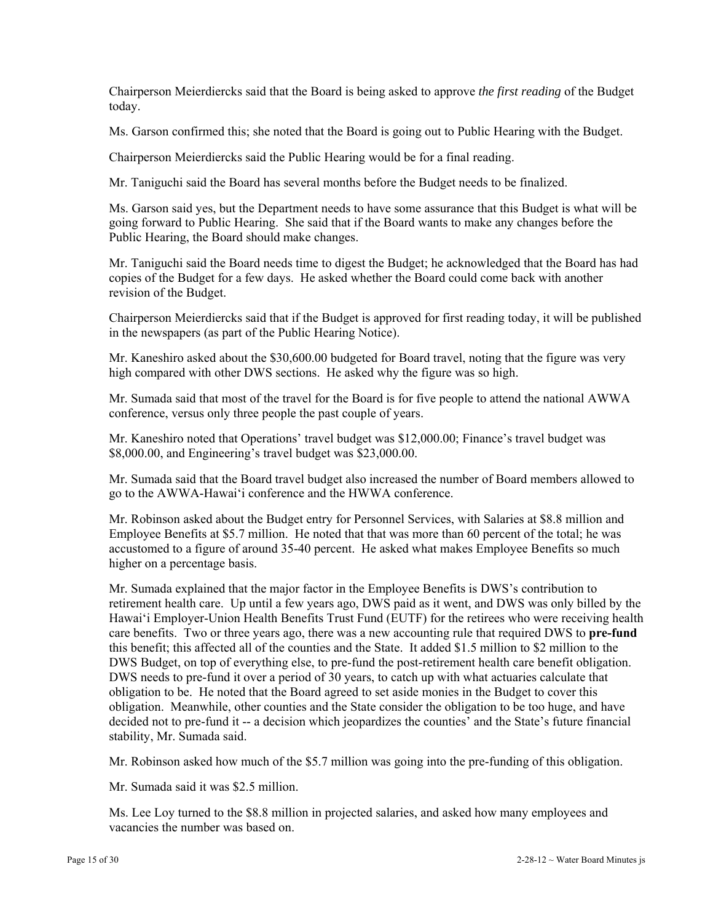Chairperson Meierdiercks said that the Board is being asked to approve *the first reading* of the Budget today.

Ms. Garson confirmed this; she noted that the Board is going out to Public Hearing with the Budget.

Chairperson Meierdiercks said the Public Hearing would be for a final reading.

Mr. Taniguchi said the Board has several months before the Budget needs to be finalized.

Ms. Garson said yes, but the Department needs to have some assurance that this Budget is what will be going forward to Public Hearing. She said that if the Board wants to make any changes before the Public Hearing, the Board should make changes.

Mr. Taniguchi said the Board needs time to digest the Budget; he acknowledged that the Board has had copies of the Budget for a few days. He asked whether the Board could come back with another revision of the Budget.

Chairperson Meierdiercks said that if the Budget is approved for first reading today, it will be published in the newspapers (as part of the Public Hearing Notice).

Mr. Kaneshiro asked about the \$30,600.00 budgeted for Board travel, noting that the figure was very high compared with other DWS sections. He asked why the figure was so high.

Mr. Sumada said that most of the travel for the Board is for five people to attend the national AWWA conference, versus only three people the past couple of years.

Mr. Kaneshiro noted that Operations' travel budget was \$12,000.00; Finance's travel budget was \$8,000.00, and Engineering's travel budget was \$23,000.00.

Mr. Sumada said that the Board travel budget also increased the number of Board members allowed to go to the AWWA-Hawai'i conference and the HWWA conference.

Mr. Robinson asked about the Budget entry for Personnel Services, with Salaries at \$8.8 million and Employee Benefits at \$5.7 million. He noted that that was more than 60 percent of the total; he was accustomed to a figure of around 35-40 percent. He asked what makes Employee Benefits so much higher on a percentage basis.

Mr. Sumada explained that the major factor in the Employee Benefits is DWS's contribution to retirement health care. Up until a few years ago, DWS paid as it went, and DWS was only billed by the Hawai'i Employer-Union Health Benefits Trust Fund (EUTF) for the retirees who were receiving health care benefits. Two or three years ago, there was a new accounting rule that required DWS to **pre-fund** this benefit; this affected all of the counties and the State. It added \$1.5 million to \$2 million to the DWS Budget, on top of everything else, to pre-fund the post-retirement health care benefit obligation. DWS needs to pre-fund it over a period of 30 years, to catch up with what actuaries calculate that obligation to be. He noted that the Board agreed to set aside monies in the Budget to cover this obligation. Meanwhile, other counties and the State consider the obligation to be too huge, and have decided not to pre-fund it -- a decision which jeopardizes the counties' and the State's future financial stability, Mr. Sumada said.

Mr. Robinson asked how much of the \$5.7 million was going into the pre-funding of this obligation.

Mr. Sumada said it was \$2.5 million.

Ms. Lee Loy turned to the \$8.8 million in projected salaries, and asked how many employees and vacancies the number was based on.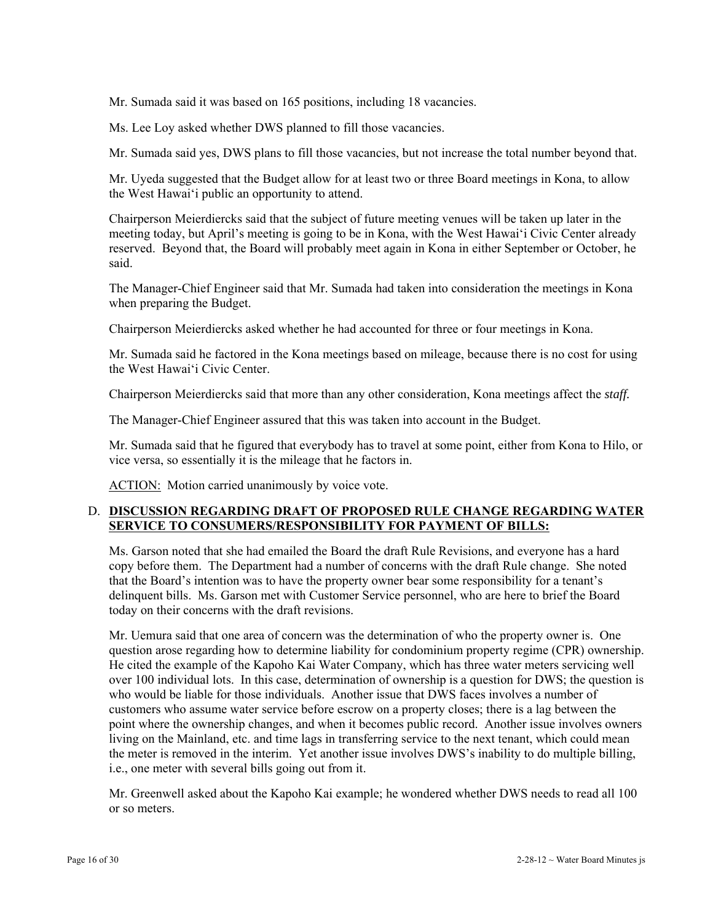Mr. Sumada said it was based on 165 positions, including 18 vacancies.

Ms. Lee Loy asked whether DWS planned to fill those vacancies.

Mr. Sumada said yes, DWS plans to fill those vacancies, but not increase the total number beyond that.

Mr. Uyeda suggested that the Budget allow for at least two or three Board meetings in Kona, to allow the West Hawai'i public an opportunity to attend.

Chairperson Meierdiercks said that the subject of future meeting venues will be taken up later in the meeting today, but April's meeting is going to be in Kona, with the West Hawai'i Civic Center already reserved. Beyond that, the Board will probably meet again in Kona in either September or October, he said.

The Manager-Chief Engineer said that Mr. Sumada had taken into consideration the meetings in Kona when preparing the Budget.

Chairperson Meierdiercks asked whether he had accounted for three or four meetings in Kona.

Mr. Sumada said he factored in the Kona meetings based on mileage, because there is no cost for using the West Hawai'i Civic Center.

Chairperson Meierdiercks said that more than any other consideration, Kona meetings affect the *staff.*

The Manager-Chief Engineer assured that this was taken into account in the Budget.

Mr. Sumada said that he figured that everybody has to travel at some point, either from Kona to Hilo, or vice versa, so essentially it is the mileage that he factors in.

ACTION: Motion carried unanimously by voice vote.

## D. **DISCUSSION REGARDING DRAFT OF PROPOSED RULE CHANGE REGARDING WATER SERVICE TO CONSUMERS/RESPONSIBILITY FOR PAYMENT OF BILLS:**

Ms. Garson noted that she had emailed the Board the draft Rule Revisions, and everyone has a hard copy before them. The Department had a number of concerns with the draft Rule change. She noted that the Board's intention was to have the property owner bear some responsibility for a tenant's delinquent bills. Ms. Garson met with Customer Service personnel, who are here to brief the Board today on their concerns with the draft revisions.

Mr. Uemura said that one area of concern was the determination of who the property owner is. One question arose regarding how to determine liability for condominium property regime (CPR) ownership. He cited the example of the Kapoho Kai Water Company, which has three water meters servicing well over 100 individual lots. In this case, determination of ownership is a question for DWS; the question is who would be liable for those individuals. Another issue that DWS faces involves a number of customers who assume water service before escrow on a property closes; there is a lag between the point where the ownership changes, and when it becomes public record. Another issue involves owners living on the Mainland, etc. and time lags in transferring service to the next tenant, which could mean the meter is removed in the interim. Yet another issue involves DWS's inability to do multiple billing, i.e., one meter with several bills going out from it.

Mr. Greenwell asked about the Kapoho Kai example; he wondered whether DWS needs to read all 100 or so meters.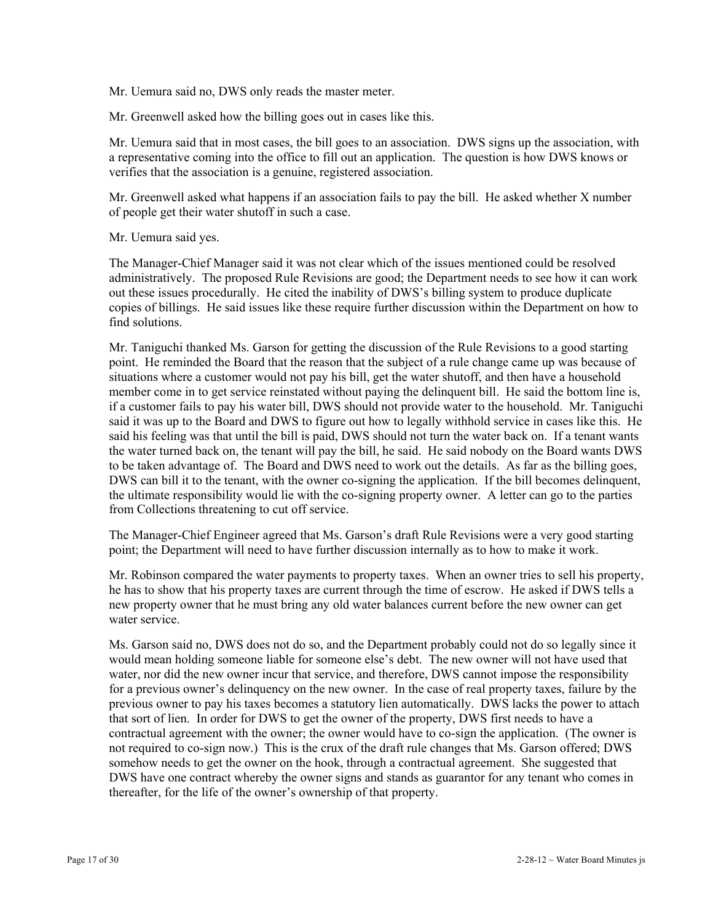Mr. Uemura said no, DWS only reads the master meter.

Mr. Greenwell asked how the billing goes out in cases like this.

Mr. Uemura said that in most cases, the bill goes to an association. DWS signs up the association, with a representative coming into the office to fill out an application. The question is how DWS knows or verifies that the association is a genuine, registered association.

Mr. Greenwell asked what happens if an association fails to pay the bill. He asked whether X number of people get their water shutoff in such a case.

Mr. Uemura said yes.

The Manager-Chief Manager said it was not clear which of the issues mentioned could be resolved administratively. The proposed Rule Revisions are good; the Department needs to see how it can work out these issues procedurally. He cited the inability of DWS's billing system to produce duplicate copies of billings. He said issues like these require further discussion within the Department on how to find solutions.

Mr. Taniguchi thanked Ms. Garson for getting the discussion of the Rule Revisions to a good starting point. He reminded the Board that the reason that the subject of a rule change came up was because of situations where a customer would not pay his bill, get the water shutoff, and then have a household member come in to get service reinstated without paying the delinquent bill. He said the bottom line is, if a customer fails to pay his water bill, DWS should not provide water to the household. Mr. Taniguchi said it was up to the Board and DWS to figure out how to legally withhold service in cases like this. He said his feeling was that until the bill is paid, DWS should not turn the water back on. If a tenant wants the water turned back on, the tenant will pay the bill, he said. He said nobody on the Board wants DWS to be taken advantage of. The Board and DWS need to work out the details. As far as the billing goes, DWS can bill it to the tenant, with the owner co-signing the application. If the bill becomes delinquent, the ultimate responsibility would lie with the co-signing property owner. A letter can go to the parties from Collections threatening to cut off service.

The Manager-Chief Engineer agreed that Ms. Garson's draft Rule Revisions were a very good starting point; the Department will need to have further discussion internally as to how to make it work.

Mr. Robinson compared the water payments to property taxes. When an owner tries to sell his property, he has to show that his property taxes are current through the time of escrow. He asked if DWS tells a new property owner that he must bring any old water balances current before the new owner can get water service.

Ms. Garson said no, DWS does not do so, and the Department probably could not do so legally since it would mean holding someone liable for someone else's debt. The new owner will not have used that water, nor did the new owner incur that service, and therefore, DWS cannot impose the responsibility for a previous owner's delinquency on the new owner. In the case of real property taxes, failure by the previous owner to pay his taxes becomes a statutory lien automatically. DWS lacks the power to attach that sort of lien. In order for DWS to get the owner of the property, DWS first needs to have a contractual agreement with the owner; the owner would have to co-sign the application. (The owner is not required to co-sign now.) This is the crux of the draft rule changes that Ms. Garson offered; DWS somehow needs to get the owner on the hook, through a contractual agreement. She suggested that DWS have one contract whereby the owner signs and stands as guarantor for any tenant who comes in thereafter, for the life of the owner's ownership of that property.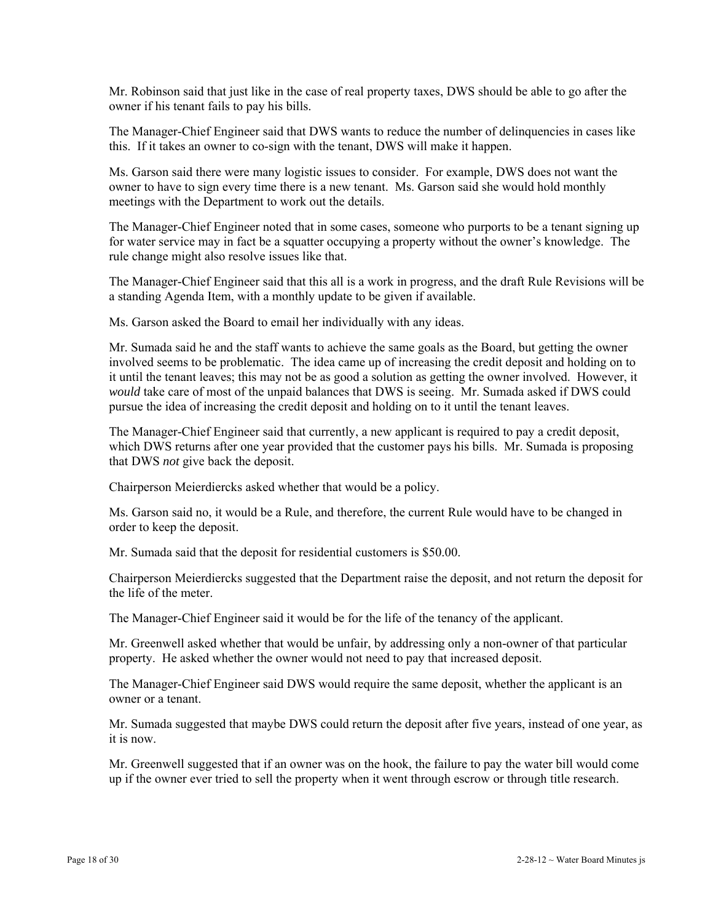Mr. Robinson said that just like in the case of real property taxes, DWS should be able to go after the owner if his tenant fails to pay his bills.

The Manager-Chief Engineer said that DWS wants to reduce the number of delinquencies in cases like this. If it takes an owner to co-sign with the tenant, DWS will make it happen.

Ms. Garson said there were many logistic issues to consider. For example, DWS does not want the owner to have to sign every time there is a new tenant. Ms. Garson said she would hold monthly meetings with the Department to work out the details.

The Manager-Chief Engineer noted that in some cases, someone who purports to be a tenant signing up for water service may in fact be a squatter occupying a property without the owner's knowledge. The rule change might also resolve issues like that.

The Manager-Chief Engineer said that this all is a work in progress, and the draft Rule Revisions will be a standing Agenda Item, with a monthly update to be given if available.

Ms. Garson asked the Board to email her individually with any ideas.

Mr. Sumada said he and the staff wants to achieve the same goals as the Board, but getting the owner involved seems to be problematic. The idea came up of increasing the credit deposit and holding on to it until the tenant leaves; this may not be as good a solution as getting the owner involved. However, it *would* take care of most of the unpaid balances that DWS is seeing. Mr. Sumada asked if DWS could pursue the idea of increasing the credit deposit and holding on to it until the tenant leaves.

The Manager-Chief Engineer said that currently, a new applicant is required to pay a credit deposit, which DWS returns after one year provided that the customer pays his bills. Mr. Sumada is proposing that DWS *not* give back the deposit.

Chairperson Meierdiercks asked whether that would be a policy.

Ms. Garson said no, it would be a Rule, and therefore, the current Rule would have to be changed in order to keep the deposit.

Mr. Sumada said that the deposit for residential customers is \$50.00.

Chairperson Meierdiercks suggested that the Department raise the deposit, and not return the deposit for the life of the meter.

The Manager-Chief Engineer said it would be for the life of the tenancy of the applicant.

Mr. Greenwell asked whether that would be unfair, by addressing only a non-owner of that particular property. He asked whether the owner would not need to pay that increased deposit.

The Manager-Chief Engineer said DWS would require the same deposit, whether the applicant is an owner or a tenant.

Mr. Sumada suggested that maybe DWS could return the deposit after five years, instead of one year, as it is now.

Mr. Greenwell suggested that if an owner was on the hook, the failure to pay the water bill would come up if the owner ever tried to sell the property when it went through escrow or through title research.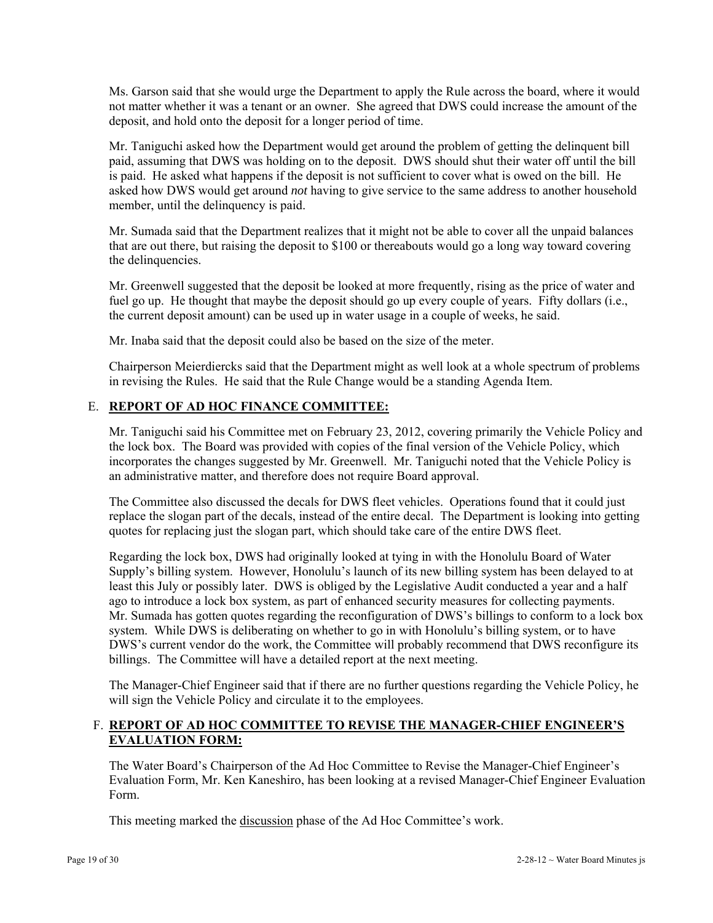Ms. Garson said that she would urge the Department to apply the Rule across the board, where it would not matter whether it was a tenant or an owner. She agreed that DWS could increase the amount of the deposit, and hold onto the deposit for a longer period of time.

Mr. Taniguchi asked how the Department would get around the problem of getting the delinquent bill paid, assuming that DWS was holding on to the deposit. DWS should shut their water off until the bill is paid. He asked what happens if the deposit is not sufficient to cover what is owed on the bill. He asked how DWS would get around *not* having to give service to the same address to another household member, until the delinquency is paid.

Mr. Sumada said that the Department realizes that it might not be able to cover all the unpaid balances that are out there, but raising the deposit to \$100 or thereabouts would go a long way toward covering the delinquencies.

Mr. Greenwell suggested that the deposit be looked at more frequently, rising as the price of water and fuel go up. He thought that maybe the deposit should go up every couple of years. Fifty dollars (i.e., the current deposit amount) can be used up in water usage in a couple of weeks, he said.

Mr. Inaba said that the deposit could also be based on the size of the meter.

Chairperson Meierdiercks said that the Department might as well look at a whole spectrum of problems in revising the Rules. He said that the Rule Change would be a standing Agenda Item.

## E. **REPORT OF AD HOC FINANCE COMMITTEE:**

Mr. Taniguchi said his Committee met on February 23, 2012, covering primarily the Vehicle Policy and the lock box. The Board was provided with copies of the final version of the Vehicle Policy, which incorporates the changes suggested by Mr. Greenwell. Mr. Taniguchi noted that the Vehicle Policy is an administrative matter, and therefore does not require Board approval.

The Committee also discussed the decals for DWS fleet vehicles. Operations found that it could just replace the slogan part of the decals, instead of the entire decal. The Department is looking into getting quotes for replacing just the slogan part, which should take care of the entire DWS fleet.

Regarding the lock box, DWS had originally looked at tying in with the Honolulu Board of Water Supply's billing system. However, Honolulu's launch of its new billing system has been delayed to at least this July or possibly later. DWS is obliged by the Legislative Audit conducted a year and a half ago to introduce a lock box system, as part of enhanced security measures for collecting payments. Mr. Sumada has gotten quotes regarding the reconfiguration of DWS's billings to conform to a lock box system. While DWS is deliberating on whether to go in with Honolulu's billing system, or to have DWS's current vendor do the work, the Committee will probably recommend that DWS reconfigure its billings. The Committee will have a detailed report at the next meeting.

The Manager-Chief Engineer said that if there are no further questions regarding the Vehicle Policy, he will sign the Vehicle Policy and circulate it to the employees.

## F. **REPORT OF AD HOC COMMITTEE TO REVISE THE MANAGER-CHIEF ENGINEER'S EVALUATION FORM:**

The Water Board's Chairperson of the Ad Hoc Committee to Revise the Manager-Chief Engineer's Evaluation Form, Mr. Ken Kaneshiro, has been looking at a revised Manager-Chief Engineer Evaluation Form.

This meeting marked the discussion phase of the Ad Hoc Committee's work.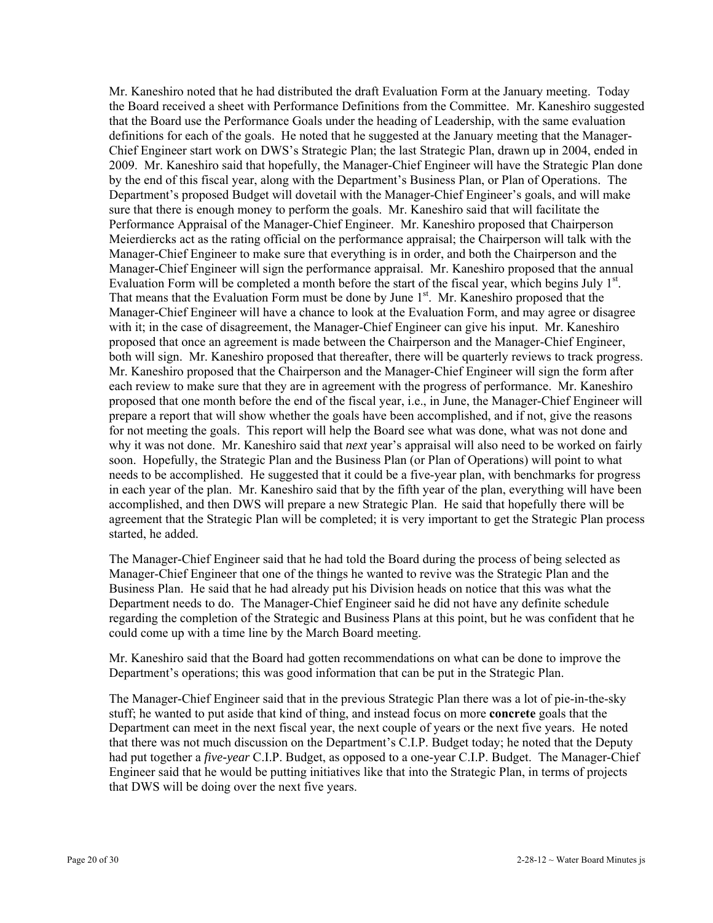Mr. Kaneshiro noted that he had distributed the draft Evaluation Form at the January meeting. Today the Board received a sheet with Performance Definitions from the Committee. Mr. Kaneshiro suggested that the Board use the Performance Goals under the heading of Leadership, with the same evaluation definitions for each of the goals. He noted that he suggested at the January meeting that the Manager-Chief Engineer start work on DWS's Strategic Plan; the last Strategic Plan, drawn up in 2004, ended in 2009. Mr. Kaneshiro said that hopefully, the Manager-Chief Engineer will have the Strategic Plan done by the end of this fiscal year, along with the Department's Business Plan, or Plan of Operations. The Department's proposed Budget will dovetail with the Manager-Chief Engineer's goals, and will make sure that there is enough money to perform the goals. Mr. Kaneshiro said that will facilitate the Performance Appraisal of the Manager-Chief Engineer. Mr. Kaneshiro proposed that Chairperson Meierdiercks act as the rating official on the performance appraisal; the Chairperson will talk with the Manager-Chief Engineer to make sure that everything is in order, and both the Chairperson and the Manager-Chief Engineer will sign the performance appraisal. Mr. Kaneshiro proposed that the annual Evaluation Form will be completed a month before the start of the fiscal year, which begins July  $1<sup>st</sup>$ . That means that the Evaluation Form must be done by June  $1<sup>st</sup>$ . Mr. Kaneshiro proposed that the Manager-Chief Engineer will have a chance to look at the Evaluation Form, and may agree or disagree with it; in the case of disagreement, the Manager-Chief Engineer can give his input. Mr. Kaneshiro proposed that once an agreement is made between the Chairperson and the Manager-Chief Engineer, both will sign. Mr. Kaneshiro proposed that thereafter, there will be quarterly reviews to track progress. Mr. Kaneshiro proposed that the Chairperson and the Manager-Chief Engineer will sign the form after each review to make sure that they are in agreement with the progress of performance. Mr. Kaneshiro proposed that one month before the end of the fiscal year, i.e., in June, the Manager-Chief Engineer will prepare a report that will show whether the goals have been accomplished, and if not, give the reasons for not meeting the goals. This report will help the Board see what was done, what was not done and why it was not done. Mr. Kaneshiro said that *next* year's appraisal will also need to be worked on fairly soon. Hopefully, the Strategic Plan and the Business Plan (or Plan of Operations) will point to what needs to be accomplished. He suggested that it could be a five-year plan, with benchmarks for progress in each year of the plan. Mr. Kaneshiro said that by the fifth year of the plan, everything will have been accomplished, and then DWS will prepare a new Strategic Plan. He said that hopefully there will be agreement that the Strategic Plan will be completed; it is very important to get the Strategic Plan process started, he added.

The Manager-Chief Engineer said that he had told the Board during the process of being selected as Manager-Chief Engineer that one of the things he wanted to revive was the Strategic Plan and the Business Plan. He said that he had already put his Division heads on notice that this was what the Department needs to do. The Manager-Chief Engineer said he did not have any definite schedule regarding the completion of the Strategic and Business Plans at this point, but he was confident that he could come up with a time line by the March Board meeting.

Mr. Kaneshiro said that the Board had gotten recommendations on what can be done to improve the Department's operations; this was good information that can be put in the Strategic Plan.

The Manager-Chief Engineer said that in the previous Strategic Plan there was a lot of pie-in-the-sky stuff; he wanted to put aside that kind of thing, and instead focus on more **concrete** goals that the Department can meet in the next fiscal year, the next couple of years or the next five years. He noted that there was not much discussion on the Department's C.I.P. Budget today; he noted that the Deputy had put together a *five-year* C.I.P. Budget, as opposed to a one-year C.I.P. Budget. The Manager-Chief Engineer said that he would be putting initiatives like that into the Strategic Plan, in terms of projects that DWS will be doing over the next five years.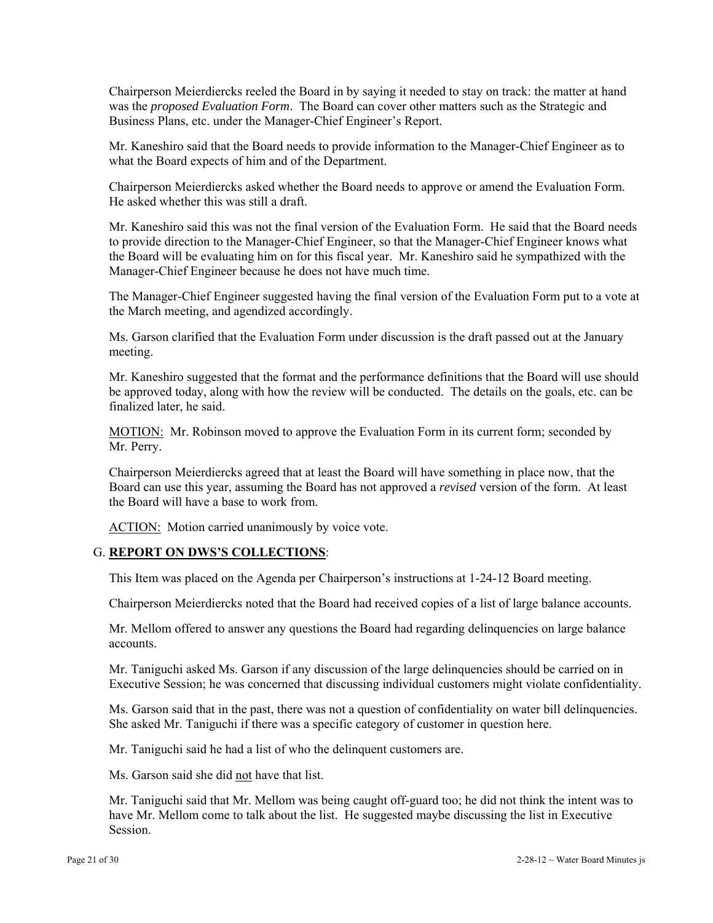Chairperson Meierdiercks reeled the Board in by saying it needed to stay on track: the matter at hand was the *proposed Evaluation Form*. The Board can cover other matters such as the Strategic and Business Plans, etc. under the Manager-Chief Engineer's Report.

Mr. Kaneshiro said that the Board needs to provide information to the Manager-Chief Engineer as to what the Board expects of him and of the Department.

Chairperson Meierdiercks asked whether the Board needs to approve or amend the Evaluation Form. He asked whether this was still a draft.

Mr. Kaneshiro said this was not the final version of the Evaluation Form. He said that the Board needs to provide direction to the Manager-Chief Engineer, so that the Manager-Chief Engineer knows what the Board will be evaluating him on for this fiscal year. Mr. Kaneshiro said he sympathized with the Manager-Chief Engineer because he does not have much time.

The Manager-Chief Engineer suggested having the final version of the Evaluation Form put to a vote at the March meeting, and agendized accordingly.

Ms. Garson clarified that the Evaluation Form under discussion is the draft passed out at the January meeting.

Mr. Kaneshiro suggested that the format and the performance definitions that the Board will use should be approved today, along with how the review will be conducted. The details on the goals, etc. can be finalized later, he said.

MOTION: Mr. Robinson moved to approve the Evaluation Form in its current form; seconded by Mr. Perry.

Chairperson Meierdiercks agreed that at least the Board will have something in place now, that the Board can use this year, assuming the Board has not approved a *revised* version of the form. At least the Board will have a base to work from.

ACTION: Motion carried unanimously by voice vote.

#### G. **REPORT ON DWS'S COLLECTIONS**:

This Item was placed on the Agenda per Chairperson's instructions at 1-24-12 Board meeting.

Chairperson Meierdiercks noted that the Board had received copies of a list of large balance accounts.

Mr. Mellom offered to answer any questions the Board had regarding delinquencies on large balance accounts.

Mr. Taniguchi asked Ms. Garson if any discussion of the large delinquencies should be carried on in Executive Session; he was concerned that discussing individual customers might violate confidentiality.

Ms. Garson said that in the past, there was not a question of confidentiality on water bill delinquencies. She asked Mr. Taniguchi if there was a specific category of customer in question here.

Mr. Taniguchi said he had a list of who the delinquent customers are.

Ms. Garson said she did not have that list.

Mr. Taniguchi said that Mr. Mellom was being caught off-guard too; he did not think the intent was to have Mr. Mellom come to talk about the list. He suggested maybe discussing the list in Executive Session.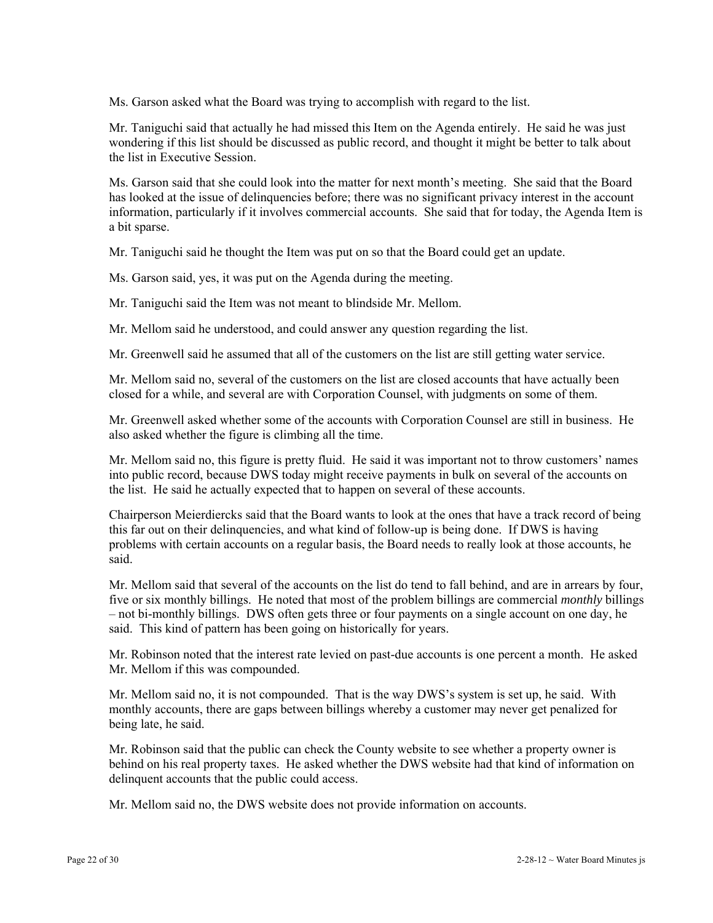Ms. Garson asked what the Board was trying to accomplish with regard to the list.

Mr. Taniguchi said that actually he had missed this Item on the Agenda entirely. He said he was just wondering if this list should be discussed as public record, and thought it might be better to talk about the list in Executive Session.

Ms. Garson said that she could look into the matter for next month's meeting. She said that the Board has looked at the issue of delinquencies before; there was no significant privacy interest in the account information, particularly if it involves commercial accounts. She said that for today, the Agenda Item is a bit sparse.

Mr. Taniguchi said he thought the Item was put on so that the Board could get an update.

Ms. Garson said, yes, it was put on the Agenda during the meeting.

Mr. Taniguchi said the Item was not meant to blindside Mr. Mellom.

Mr. Mellom said he understood, and could answer any question regarding the list.

Mr. Greenwell said he assumed that all of the customers on the list are still getting water service.

Mr. Mellom said no, several of the customers on the list are closed accounts that have actually been closed for a while, and several are with Corporation Counsel, with judgments on some of them.

Mr. Greenwell asked whether some of the accounts with Corporation Counsel are still in business. He also asked whether the figure is climbing all the time.

Mr. Mellom said no, this figure is pretty fluid. He said it was important not to throw customers' names into public record, because DWS today might receive payments in bulk on several of the accounts on the list. He said he actually expected that to happen on several of these accounts.

Chairperson Meierdiercks said that the Board wants to look at the ones that have a track record of being this far out on their delinquencies, and what kind of follow-up is being done. If DWS is having problems with certain accounts on a regular basis, the Board needs to really look at those accounts, he said.

Mr. Mellom said that several of the accounts on the list do tend to fall behind, and are in arrears by four, five or six monthly billings. He noted that most of the problem billings are commercial *monthly* billings – not bi-monthly billings. DWS often gets three or four payments on a single account on one day, he said. This kind of pattern has been going on historically for years.

Mr. Robinson noted that the interest rate levied on past-due accounts is one percent a month. He asked Mr. Mellom if this was compounded.

Mr. Mellom said no, it is not compounded. That is the way DWS's system is set up, he said. With monthly accounts, there are gaps between billings whereby a customer may never get penalized for being late, he said.

Mr. Robinson said that the public can check the County website to see whether a property owner is behind on his real property taxes. He asked whether the DWS website had that kind of information on delinquent accounts that the public could access.

Mr. Mellom said no, the DWS website does not provide information on accounts.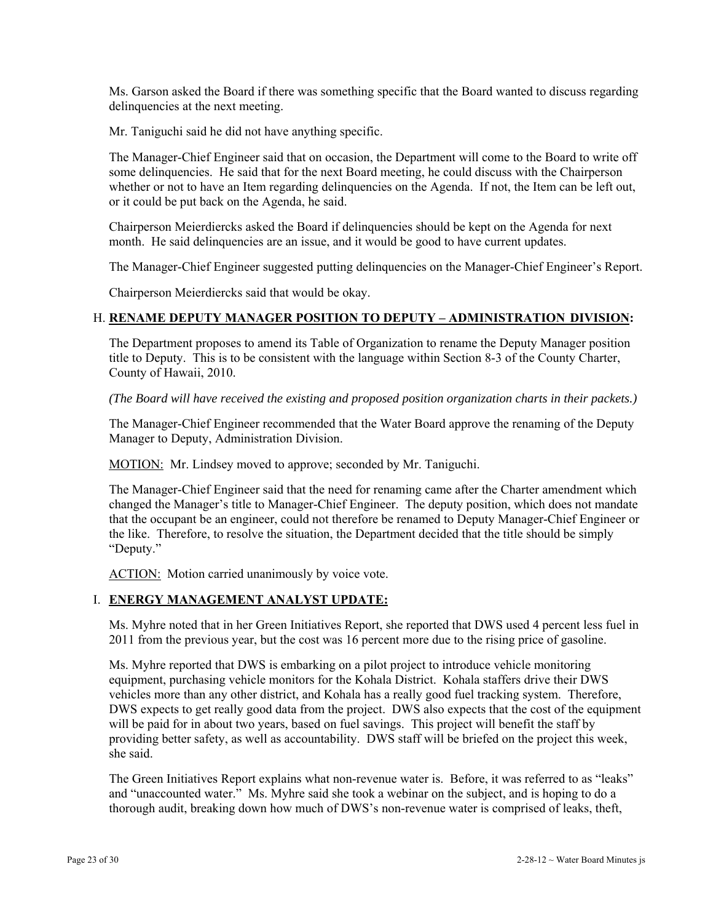Ms. Garson asked the Board if there was something specific that the Board wanted to discuss regarding delinquencies at the next meeting.

Mr. Taniguchi said he did not have anything specific.

The Manager-Chief Engineer said that on occasion, the Department will come to the Board to write off some delinquencies. He said that for the next Board meeting, he could discuss with the Chairperson whether or not to have an Item regarding delinquencies on the Agenda. If not, the Item can be left out, or it could be put back on the Agenda, he said.

Chairperson Meierdiercks asked the Board if delinquencies should be kept on the Agenda for next month. He said delinquencies are an issue, and it would be good to have current updates.

The Manager-Chief Engineer suggested putting delinquencies on the Manager-Chief Engineer's Report.

Chairperson Meierdiercks said that would be okay.

## H. **RENAME DEPUTY MANAGER POSITION TO DEPUTY – ADMINISTRATION DIVISION:**

The Department proposes to amend its Table of Organization to rename the Deputy Manager position title to Deputy. This is to be consistent with the language within Section 8-3 of the County Charter, County of Hawaii, 2010.

*(The Board will have received the existing and proposed position organization charts in their packets.)* 

The Manager-Chief Engineer recommended that the Water Board approve the renaming of the Deputy Manager to Deputy, Administration Division.

MOTION: Mr. Lindsey moved to approve; seconded by Mr. Taniguchi.

The Manager-Chief Engineer said that the need for renaming came after the Charter amendment which changed the Manager's title to Manager-Chief Engineer. The deputy position, which does not mandate that the occupant be an engineer, could not therefore be renamed to Deputy Manager-Chief Engineer or the like. Therefore, to resolve the situation, the Department decided that the title should be simply "Deputy."

ACTION: Motion carried unanimously by voice vote.

#### I. **ENERGY MANAGEMENT ANALYST UPDATE:**

Ms. Myhre noted that in her Green Initiatives Report, she reported that DWS used 4 percent less fuel in 2011 from the previous year, but the cost was 16 percent more due to the rising price of gasoline.

Ms. Myhre reported that DWS is embarking on a pilot project to introduce vehicle monitoring equipment, purchasing vehicle monitors for the Kohala District. Kohala staffers drive their DWS vehicles more than any other district, and Kohala has a really good fuel tracking system. Therefore, DWS expects to get really good data from the project. DWS also expects that the cost of the equipment will be paid for in about two years, based on fuel savings. This project will benefit the staff by providing better safety, as well as accountability. DWS staff will be briefed on the project this week, she said.

The Green Initiatives Report explains what non-revenue water is. Before, it was referred to as "leaks" and "unaccounted water." Ms. Myhre said she took a webinar on the subject, and is hoping to do a thorough audit, breaking down how much of DWS's non-revenue water is comprised of leaks, theft,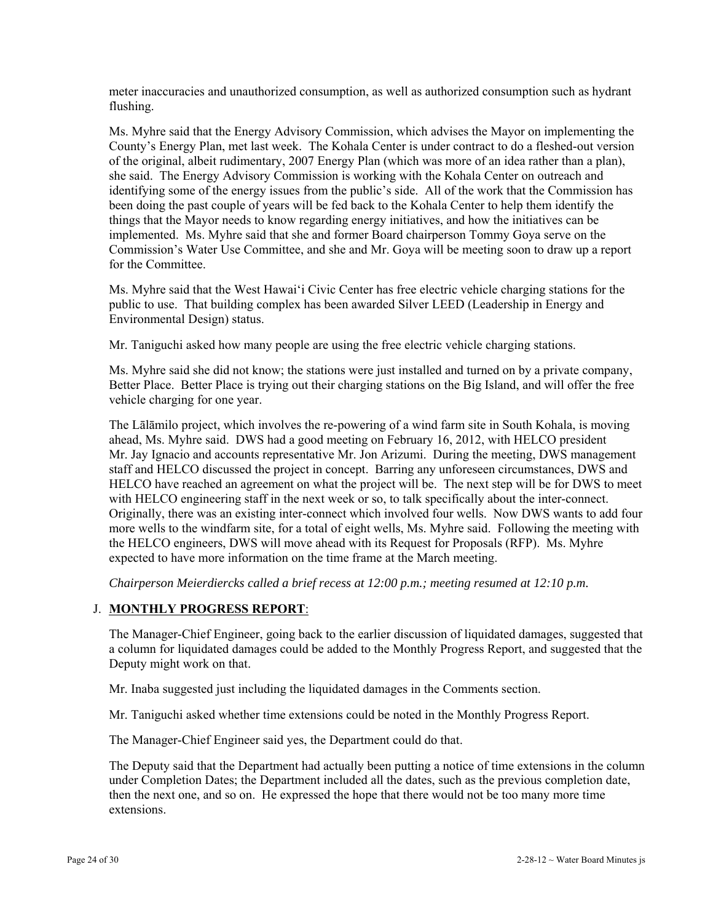meter inaccuracies and unauthorized consumption, as well as authorized consumption such as hydrant flushing.

Ms. Myhre said that the Energy Advisory Commission, which advises the Mayor on implementing the County's Energy Plan, met last week. The Kohala Center is under contract to do a fleshed-out version of the original, albeit rudimentary, 2007 Energy Plan (which was more of an idea rather than a plan), she said. The Energy Advisory Commission is working with the Kohala Center on outreach and identifying some of the energy issues from the public's side. All of the work that the Commission has been doing the past couple of years will be fed back to the Kohala Center to help them identify the things that the Mayor needs to know regarding energy initiatives, and how the initiatives can be implemented. Ms. Myhre said that she and former Board chairperson Tommy Goya serve on the Commission's Water Use Committee, and she and Mr. Goya will be meeting soon to draw up a report for the Committee.

Ms. Myhre said that the West Hawai'i Civic Center has free electric vehicle charging stations for the public to use. That building complex has been awarded Silver LEED (Leadership in Energy and Environmental Design) status.

Mr. Taniguchi asked how many people are using the free electric vehicle charging stations.

Ms. Myhre said she did not know; the stations were just installed and turned on by a private company, Better Place. Better Place is trying out their charging stations on the Big Island, and will offer the free vehicle charging for one year.

The Lālāmilo project, which involves the re-powering of a wind farm site in South Kohala, is moving ahead, Ms. Myhre said. DWS had a good meeting on February 16, 2012, with HELCO president Mr. Jay Ignacio and accounts representative Mr. Jon Arizumi. During the meeting, DWS management staff and HELCO discussed the project in concept. Barring any unforeseen circumstances, DWS and HELCO have reached an agreement on what the project will be. The next step will be for DWS to meet with HELCO engineering staff in the next week or so, to talk specifically about the inter-connect. Originally, there was an existing inter-connect which involved four wells. Now DWS wants to add four more wells to the windfarm site, for a total of eight wells, Ms. Myhre said. Following the meeting with the HELCO engineers, DWS will move ahead with its Request for Proposals (RFP). Ms. Myhre expected to have more information on the time frame at the March meeting.

*Chairperson Meierdiercks called a brief recess at 12:00 p.m.; meeting resumed at 12:10 p.m.* 

## J. **MONTHLY PROGRESS REPORT**:

The Manager-Chief Engineer, going back to the earlier discussion of liquidated damages, suggested that a column for liquidated damages could be added to the Monthly Progress Report, and suggested that the Deputy might work on that.

Mr. Inaba suggested just including the liquidated damages in the Comments section.

Mr. Taniguchi asked whether time extensions could be noted in the Monthly Progress Report.

The Manager-Chief Engineer said yes, the Department could do that.

The Deputy said that the Department had actually been putting a notice of time extensions in the column under Completion Dates; the Department included all the dates, such as the previous completion date, then the next one, and so on. He expressed the hope that there would not be too many more time extensions.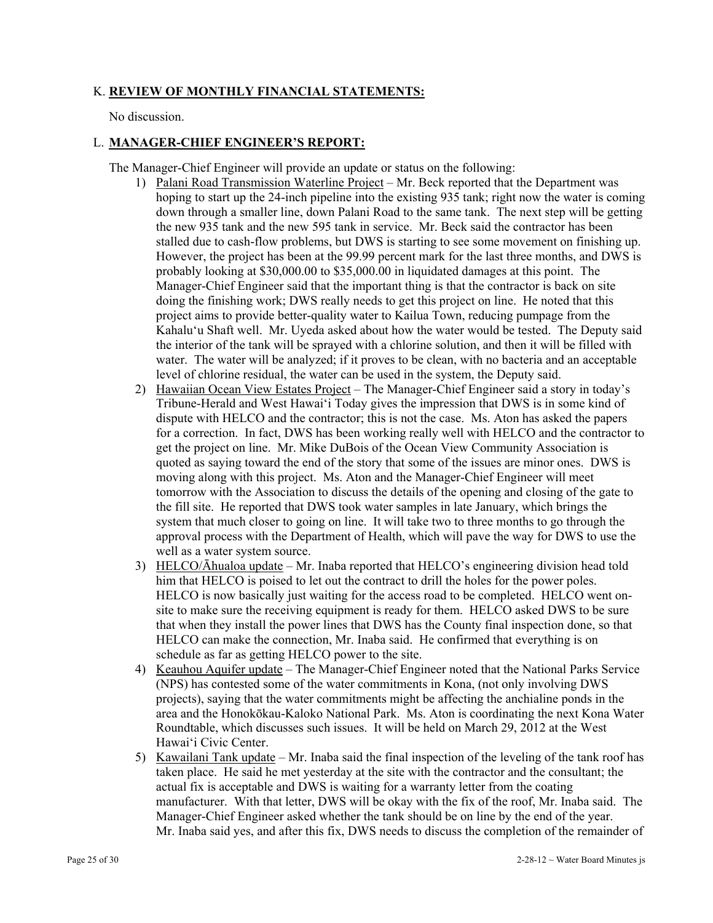## K. **REVIEW OF MONTHLY FINANCIAL STATEMENTS:**

No discussion.

### L. **MANAGER-CHIEF ENGINEER'S REPORT:**

The Manager-Chief Engineer will provide an update or status on the following:

- 1) Palani Road Transmission Waterline Project Mr. Beck reported that the Department was hoping to start up the 24-inch pipeline into the existing 935 tank; right now the water is coming down through a smaller line, down Palani Road to the same tank. The next step will be getting the new 935 tank and the new 595 tank in service. Mr. Beck said the contractor has been stalled due to cash-flow problems, but DWS is starting to see some movement on finishing up. However, the project has been at the 99.99 percent mark for the last three months, and DWS is probably looking at \$30,000.00 to \$35,000.00 in liquidated damages at this point. The Manager-Chief Engineer said that the important thing is that the contractor is back on site doing the finishing work; DWS really needs to get this project on line. He noted that this project aims to provide better-quality water to Kailua Town, reducing pumpage from the Kahalu'u Shaft well. Mr. Uyeda asked about how the water would be tested. The Deputy said the interior of the tank will be sprayed with a chlorine solution, and then it will be filled with water. The water will be analyzed; if it proves to be clean, with no bacteria and an acceptable level of chlorine residual, the water can be used in the system, the Deputy said.
- 2) Hawaiian Ocean View Estates Project The Manager-Chief Engineer said a story in today's Tribune-Herald and West Hawai'i Today gives the impression that DWS is in some kind of dispute with HELCO and the contractor; this is not the case. Ms. Aton has asked the papers for a correction. In fact, DWS has been working really well with HELCO and the contractor to get the project on line. Mr. Mike DuBois of the Ocean View Community Association is quoted as saying toward the end of the story that some of the issues are minor ones. DWS is moving along with this project. Ms. Aton and the Manager-Chief Engineer will meet tomorrow with the Association to discuss the details of the opening and closing of the gate to the fill site. He reported that DWS took water samples in late January, which brings the system that much closer to going on line. It will take two to three months to go through the approval process with the Department of Health, which will pave the way for DWS to use the well as a water system source.
- 3) HELCO/Āhualoa update Mr. Inaba reported that HELCO's engineering division head told him that HELCO is poised to let out the contract to drill the holes for the power poles. HELCO is now basically just waiting for the access road to be completed. HELCO went onsite to make sure the receiving equipment is ready for them. HELCO asked DWS to be sure that when they install the power lines that DWS has the County final inspection done, so that HELCO can make the connection, Mr. Inaba said. He confirmed that everything is on schedule as far as getting HELCO power to the site.
- 4) Keauhou Aquifer update The Manager-Chief Engineer noted that the National Parks Service (NPS) has contested some of the water commitments in Kona, (not only involving DWS projects), saying that the water commitments might be affecting the anchialine ponds in the area and the Honokōkau-Kaloko National Park. Ms. Aton is coordinating the next Kona Water Roundtable, which discusses such issues. It will be held on March 29, 2012 at the West Hawai'i Civic Center.
- 5) Kawailani Tank update Mr. Inaba said the final inspection of the leveling of the tank roof has taken place. He said he met yesterday at the site with the contractor and the consultant; the actual fix is acceptable and DWS is waiting for a warranty letter from the coating manufacturer. With that letter, DWS will be okay with the fix of the roof, Mr. Inaba said. The Manager-Chief Engineer asked whether the tank should be on line by the end of the year. Mr. Inaba said yes, and after this fix, DWS needs to discuss the completion of the remainder of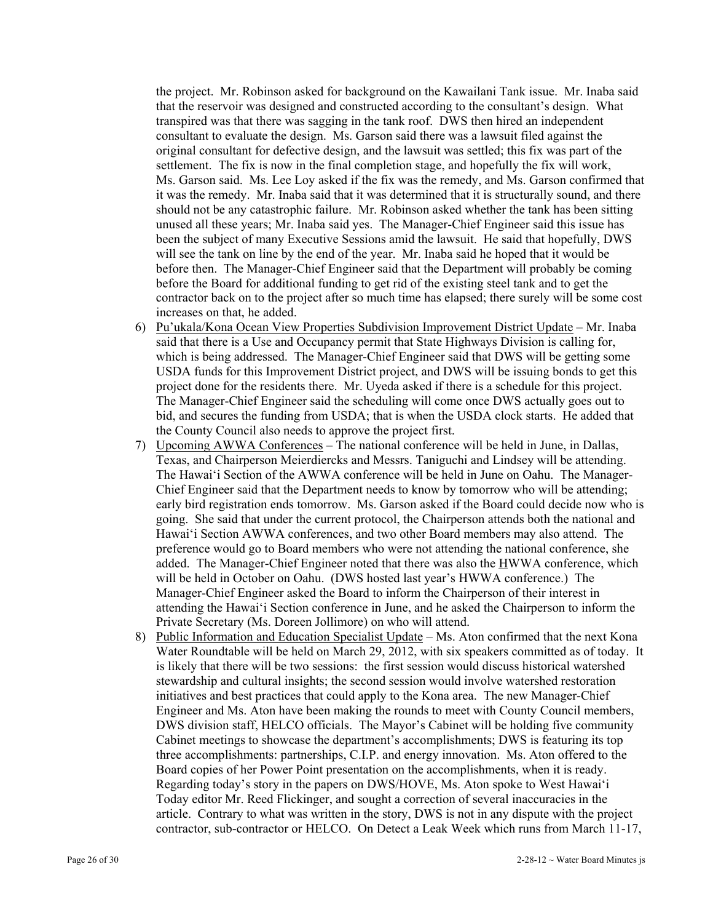the project. Mr. Robinson asked for background on the Kawailani Tank issue. Mr. Inaba said that the reservoir was designed and constructed according to the consultant's design. What transpired was that there was sagging in the tank roof. DWS then hired an independent consultant to evaluate the design. Ms. Garson said there was a lawsuit filed against the original consultant for defective design, and the lawsuit was settled; this fix was part of the settlement. The fix is now in the final completion stage, and hopefully the fix will work, Ms. Garson said. Ms. Lee Loy asked if the fix was the remedy, and Ms. Garson confirmed that it was the remedy. Mr. Inaba said that it was determined that it is structurally sound, and there should not be any catastrophic failure. Mr. Robinson asked whether the tank has been sitting unused all these years; Mr. Inaba said yes. The Manager-Chief Engineer said this issue has been the subject of many Executive Sessions amid the lawsuit. He said that hopefully, DWS will see the tank on line by the end of the year. Mr. Inaba said he hoped that it would be before then. The Manager-Chief Engineer said that the Department will probably be coming before the Board for additional funding to get rid of the existing steel tank and to get the contractor back on to the project after so much time has elapsed; there surely will be some cost increases on that, he added.

- 6) Pu'ukala/Kona Ocean View Properties Subdivision Improvement District Update Mr. Inaba said that there is a Use and Occupancy permit that State Highways Division is calling for, which is being addressed. The Manager-Chief Engineer said that DWS will be getting some USDA funds for this Improvement District project, and DWS will be issuing bonds to get this project done for the residents there. Mr. Uyeda asked if there is a schedule for this project. The Manager-Chief Engineer said the scheduling will come once DWS actually goes out to bid, and secures the funding from USDA; that is when the USDA clock starts. He added that the County Council also needs to approve the project first.
- 7) Upcoming AWWA Conferences The national conference will be held in June, in Dallas, Texas, and Chairperson Meierdiercks and Messrs. Taniguchi and Lindsey will be attending. The Hawai'i Section of the AWWA conference will be held in June on Oahu. The Manager-Chief Engineer said that the Department needs to know by tomorrow who will be attending; early bird registration ends tomorrow. Ms. Garson asked if the Board could decide now who is going. She said that under the current protocol, the Chairperson attends both the national and Hawai'i Section AWWA conferences, and two other Board members may also attend. The preference would go to Board members who were not attending the national conference, she added. The Manager-Chief Engineer noted that there was also the HWWA conference, which will be held in October on Oahu. (DWS hosted last year's HWWA conference.) The Manager-Chief Engineer asked the Board to inform the Chairperson of their interest in attending the Hawai'i Section conference in June, and he asked the Chairperson to inform the Private Secretary (Ms. Doreen Jollimore) on who will attend.
- 8) Public Information and Education Specialist Update Ms. Aton confirmed that the next Kona Water Roundtable will be held on March 29, 2012, with six speakers committed as of today. It is likely that there will be two sessions: the first session would discuss historical watershed stewardship and cultural insights; the second session would involve watershed restoration initiatives and best practices that could apply to the Kona area. The new Manager-Chief Engineer and Ms. Aton have been making the rounds to meet with County Council members, DWS division staff, HELCO officials. The Mayor's Cabinet will be holding five community Cabinet meetings to showcase the department's accomplishments; DWS is featuring its top three accomplishments: partnerships, C.I.P. and energy innovation. Ms. Aton offered to the Board copies of her Power Point presentation on the accomplishments, when it is ready. Regarding today's story in the papers on DWS/HOVE, Ms. Aton spoke to West Hawai'i Today editor Mr. Reed Flickinger, and sought a correction of several inaccuracies in the article. Contrary to what was written in the story, DWS is not in any dispute with the project contractor, sub-contractor or HELCO. On Detect a Leak Week which runs from March 11-17,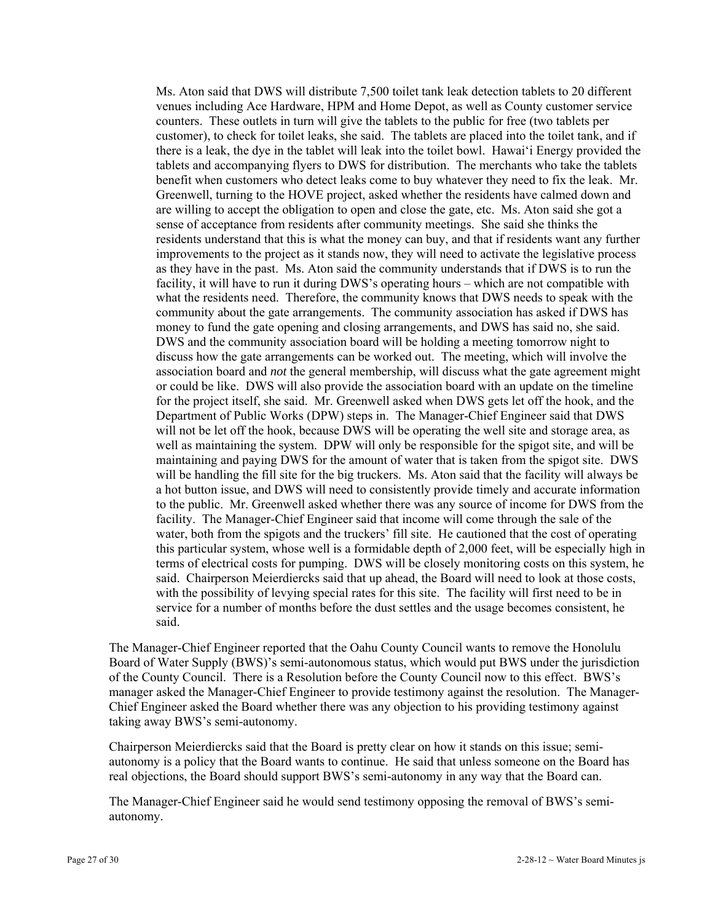Ms. Aton said that DWS will distribute 7,500 toilet tank leak detection tablets to 20 different venues including Ace Hardware, HPM and Home Depot, as well as County customer service counters. These outlets in turn will give the tablets to the public for free (two tablets per customer), to check for toilet leaks, she said. The tablets are placed into the toilet tank, and if there is a leak, the dye in the tablet will leak into the toilet bowl. Hawai'i Energy provided the tablets and accompanying flyers to DWS for distribution. The merchants who take the tablets benefit when customers who detect leaks come to buy whatever they need to fix the leak. Mr. Greenwell, turning to the HOVE project, asked whether the residents have calmed down and are willing to accept the obligation to open and close the gate, etc. Ms. Aton said she got a sense of acceptance from residents after community meetings. She said she thinks the residents understand that this is what the money can buy, and that if residents want any further improvements to the project as it stands now, they will need to activate the legislative process as they have in the past. Ms. Aton said the community understands that if DWS is to run the facility, it will have to run it during DWS's operating hours – which are not compatible with what the residents need. Therefore, the community knows that DWS needs to speak with the community about the gate arrangements. The community association has asked if DWS has money to fund the gate opening and closing arrangements, and DWS has said no, she said. DWS and the community association board will be holding a meeting tomorrow night to discuss how the gate arrangements can be worked out. The meeting, which will involve the association board and *not* the general membership, will discuss what the gate agreement might or could be like. DWS will also provide the association board with an update on the timeline for the project itself, she said. Mr. Greenwell asked when DWS gets let off the hook, and the Department of Public Works (DPW) steps in. The Manager-Chief Engineer said that DWS will not be let off the hook, because DWS will be operating the well site and storage area, as well as maintaining the system. DPW will only be responsible for the spigot site, and will be maintaining and paying DWS for the amount of water that is taken from the spigot site. DWS will be handling the fill site for the big truckers. Ms. Aton said that the facility will always be a hot button issue, and DWS will need to consistently provide timely and accurate information to the public. Mr. Greenwell asked whether there was any source of income for DWS from the facility. The Manager-Chief Engineer said that income will come through the sale of the water, both from the spigots and the truckers' fill site. He cautioned that the cost of operating this particular system, whose well is a formidable depth of 2,000 feet, will be especially high in terms of electrical costs for pumping. DWS will be closely monitoring costs on this system, he said. Chairperson Meierdiercks said that up ahead, the Board will need to look at those costs, with the possibility of levying special rates for this site. The facility will first need to be in service for a number of months before the dust settles and the usage becomes consistent, he said.

The Manager-Chief Engineer reported that the Oahu County Council wants to remove the Honolulu Board of Water Supply (BWS)'s semi-autonomous status, which would put BWS under the jurisdiction of the County Council. There is a Resolution before the County Council now to this effect. BWS's manager asked the Manager-Chief Engineer to provide testimony against the resolution. The Manager-Chief Engineer asked the Board whether there was any objection to his providing testimony against taking away BWS's semi-autonomy.

Chairperson Meierdiercks said that the Board is pretty clear on how it stands on this issue; semiautonomy is a policy that the Board wants to continue. He said that unless someone on the Board has real objections, the Board should support BWS's semi-autonomy in any way that the Board can.

The Manager-Chief Engineer said he would send testimony opposing the removal of BWS's semiautonomy.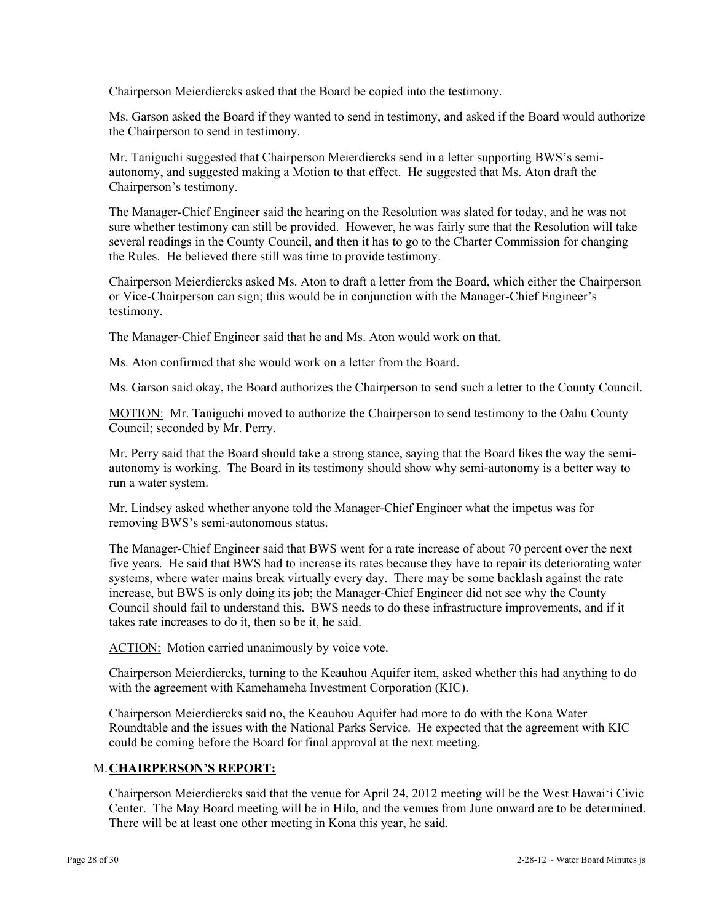Chairperson Meierdiercks asked that the Board be copied into the testimony.

Ms. Garson asked the Board if they wanted to send in testimony, and asked if the Board would authorize the Chairperson to send in testimony.

Mr. Taniguchi suggested that Chairperson Meierdiercks send in a letter supporting BWS's semiautonomy, and suggested making a Motion to that effect. He suggested that Ms. Aton draft the Chairperson's testimony.

The Manager-Chief Engineer said the hearing on the Resolution was slated for today, and he was not sure whether testimony can still be provided. However, he was fairly sure that the Resolution will take several readings in the County Council, and then it has to go to the Charter Commission for changing the Rules. He believed there still was time to provide testimony.

Chairperson Meierdiercks asked Ms. Aton to draft a letter from the Board, which either the Chairperson or Vice-Chairperson can sign; this would be in conjunction with the Manager-Chief Engineer's testimony.

The Manager-Chief Engineer said that he and Ms. Aton would work on that.

Ms. Aton confirmed that she would work on a letter from the Board.

Ms. Garson said okay, the Board authorizes the Chairperson to send such a letter to the County Council.

MOTION: Mr. Taniguchi moved to authorize the Chairperson to send testimony to the Oahu County Council; seconded by Mr. Perry.

Mr. Perry said that the Board should take a strong stance, saying that the Board likes the way the semiautonomy is working. The Board in its testimony should show why semi-autonomy is a better way to run a water system.

Mr. Lindsey asked whether anyone told the Manager-Chief Engineer what the impetus was for removing BWS's semi-autonomous status.

The Manager-Chief Engineer said that BWS went for a rate increase of about 70 percent over the next five years. He said that BWS had to increase its rates because they have to repair its deteriorating water systems, where water mains break virtually every day. There may be some backlash against the rate increase, but BWS is only doing its job; the Manager-Chief Engineer did not see why the County Council should fail to understand this. BWS needs to do these infrastructure improvements, and if it takes rate increases to do it, then so be it, he said.

ACTION: Motion carried unanimously by voice vote.

Chairperson Meierdiercks, turning to the Keauhou Aquifer item, asked whether this had anything to do with the agreement with Kamehameha Investment Corporation (KIC).

Chairperson Meierdiercks said no, the Keauhou Aquifer had more to do with the Kona Water Roundtable and the issues with the National Parks Service. He expected that the agreement with KIC could be coming before the Board for final approval at the next meeting.

#### M. **CHAIRPERSON'S REPORT:**

Chairperson Meierdiercks said that the venue for April 24, 2012 meeting will be the West Hawai'i Civic Center. The May Board meeting will be in Hilo, and the venues from June onward are to be determined. There will be at least one other meeting in Kona this year, he said.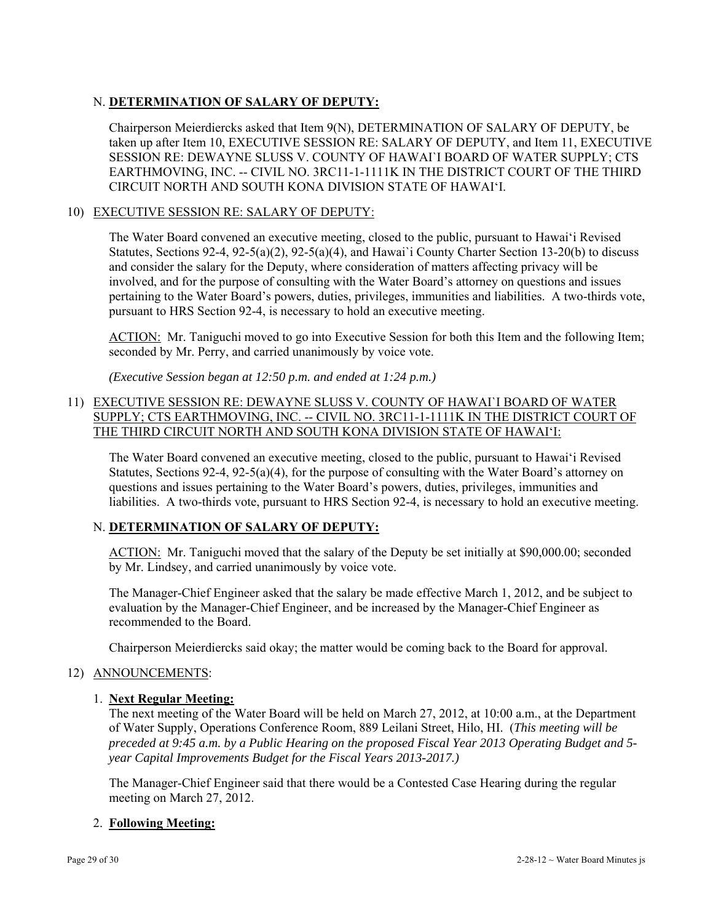## N. **DETERMINATION OF SALARY OF DEPUTY:**

Chairperson Meierdiercks asked that Item 9(N), DETERMINATION OF SALARY OF DEPUTY, be taken up after Item 10, EXECUTIVE SESSION RE: SALARY OF DEPUTY, and Item 11, EXECUTIVE SESSION RE: DEWAYNE SLUSS V. COUNTY OF HAWAI`I BOARD OF WATER SUPPLY; CTS EARTHMOVING, INC. -- CIVIL NO. 3RC11-1-1111K IN THE DISTRICT COURT OF THE THIRD CIRCUIT NORTH AND SOUTH KONA DIVISION STATE OF HAWAI'I.

## 10) EXECUTIVE SESSION RE: SALARY OF DEPUTY:

The Water Board convened an executive meeting, closed to the public, pursuant to Hawai'i Revised Statutes, Sections  $92-4$ ,  $92-5(a)(2)$ ,  $92-5(a)(4)$ , and Hawai`i County Charter Section 13-20(b) to discuss and consider the salary for the Deputy, where consideration of matters affecting privacy will be involved, and for the purpose of consulting with the Water Board's attorney on questions and issues pertaining to the Water Board's powers, duties, privileges, immunities and liabilities. A two-thirds vote, pursuant to HRS Section 92-4, is necessary to hold an executive meeting.

ACTION: Mr. Taniguchi moved to go into Executive Session for both this Item and the following Item; seconded by Mr. Perry, and carried unanimously by voice vote.

*(Executive Session began at 12:50 p.m. and ended at 1:24 p.m.)* 

## 11) EXECUTIVE SESSION RE: DEWAYNE SLUSS V. COUNTY OF HAWAI`I BOARD OF WATER SUPPLY; CTS EARTHMOVING, INC. -- CIVIL NO. 3RC11-1-1111K IN THE DISTRICT COURT OF THE THIRD CIRCUIT NORTH AND SOUTH KONA DIVISION STATE OF HAWAI'I:

The Water Board convened an executive meeting, closed to the public, pursuant to Hawai'i Revised Statutes, Sections 92-4, 92-5(a)(4), for the purpose of consulting with the Water Board's attorney on questions and issues pertaining to the Water Board's powers, duties, privileges, immunities and liabilities. A two-thirds vote, pursuant to HRS Section 92-4, is necessary to hold an executive meeting.

## N. **DETERMINATION OF SALARY OF DEPUTY:**

ACTION: Mr. Taniguchi moved that the salary of the Deputy be set initially at \$90,000.00; seconded by Mr. Lindsey, and carried unanimously by voice vote.

The Manager-Chief Engineer asked that the salary be made effective March 1, 2012, and be subject to evaluation by the Manager-Chief Engineer, and be increased by the Manager-Chief Engineer as recommended to the Board.

Chairperson Meierdiercks said okay; the matter would be coming back to the Board for approval.

#### 12) ANNOUNCEMENTS:

## 1. **Next Regular Meeting:**

The next meeting of the Water Board will be held on March 27, 2012, at 10:00 a.m., at the Department of Water Supply, Operations Conference Room, 889 Leilani Street, Hilo, HI. (*This meeting will be preceded at 9:45 a.m. by a Public Hearing on the proposed Fiscal Year 2013 Operating Budget and 5 year Capital Improvements Budget for the Fiscal Years 2013-2017.)* 

The Manager-Chief Engineer said that there would be a Contested Case Hearing during the regular meeting on March 27, 2012.

## 2. **Following Meeting:**